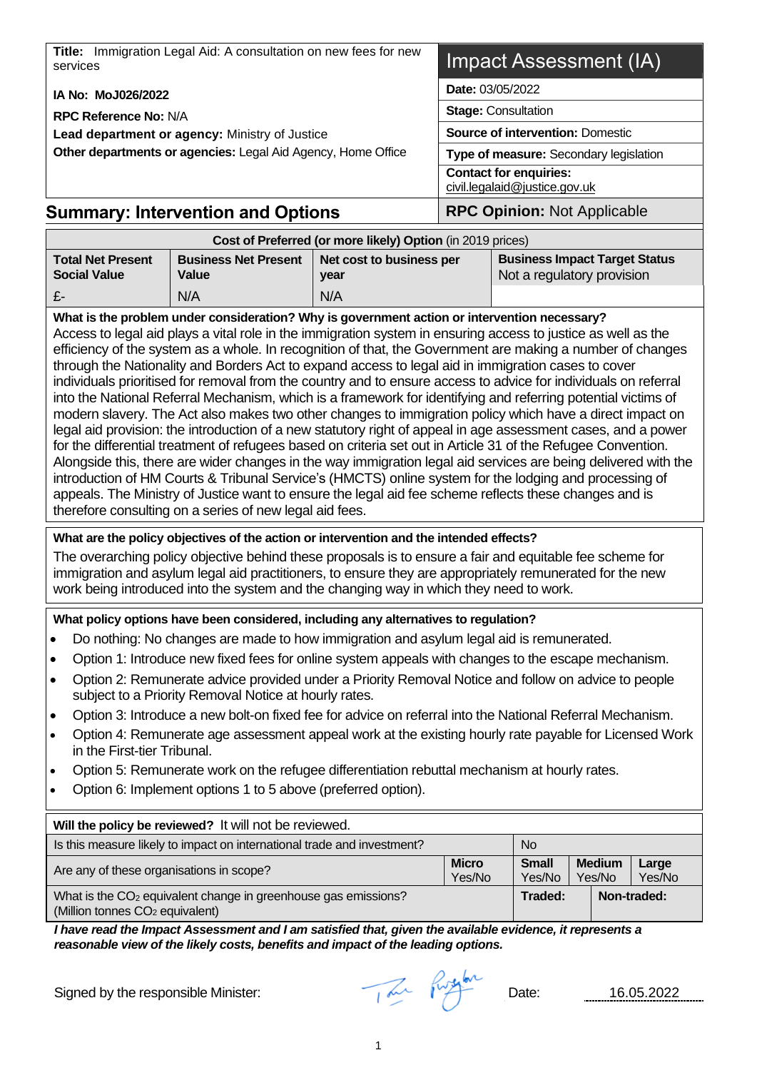**Title:** Immigration Legal Aid: A consultation on new fees for new services **IA No: MoJ026/2022 RPC Reference No:** N/A **Lead department or agency:** Ministry of Justice **Other departments or agencies:** Legal Aid Agency, Home Office Impact Assessment (IA) **Date:** 03/05/2022 **Stage:** Consultation **Source of intervention:** Domestic **Type of measure:** Secondary legislation **Contact for enquiries:** civil.leg[alaid@justice.gov.uk](mailto:aid@justice.gov.uk)

## **Summary: Intervention and Options | RPC Opinion: Not Applicable**

| Cost of Preferred (or more likely) Option (in 2019 prices) |                                      |                                  |                                                                    |  |  |  |  |  |
|------------------------------------------------------------|--------------------------------------|----------------------------------|--------------------------------------------------------------------|--|--|--|--|--|
| <b>Total Net Present</b><br><b>Social Value</b>            | <b>Business Net Present</b><br>Value | Net cost to business per<br>year | <b>Business Impact Target Status</b><br>Not a regulatory provision |  |  |  |  |  |
| $E$ -                                                      | N/A                                  | N/A                              |                                                                    |  |  |  |  |  |

**What is the problem under consideration? Why is government action or intervention necessary?** Access to legal aid plays a vital role in the immigration system in ensuring access to justice as well as the efficiency of the system as a whole. In recognition of that, the Government are making a number of changes through the Nationality and Borders Act to expand access to legal aid in immigration cases to cover individuals prioritised for removal from the country and to ensure access to advice for individuals on referral into the National Referral Mechanism, which is a framework for identifying and referring potential victims of modern slavery. The Act also makes two other changes to immigration policy which have a direct impact on legal aid provision: the introduction of a new statutory right of appeal in age assessment cases, and a power for the differential treatment of refugees based on criteria set out in Article 31 of the Refugee Convention. Alongside this, there are wider changes in the way immigration legal aid services are being delivered with the introduction of HM Courts & Tribunal Service's (HMCTS) online system for the lodging and processing of appeals. The Ministry of Justice want to ensure the legal aid fee scheme reflects these changes and is therefore consulting on a series of new legal aid fees.

#### **What are the policy objectives of the action or intervention and the intended effects?**

The overarching policy objective behind these proposals is to ensure a fair and equitable fee scheme for immigration and asylum legal aid practitioners, to ensure they are appropriately remunerated for the new work being introduced into the system and the changing way in which they need to work.

#### **What policy options have been considered, including any alternatives to regulation?**

- Do nothing: No changes are made to how immigration and asylum legal aid is remunerated.
- Option 1: Introduce new fixed fees for online system appeals with changes to the escape mechanism.
- Option 2: Remunerate advice provided under a Priority Removal Notice and follow on advice to people subject to a Priority Removal Notice at hourly rates.
- Option 3: Introduce a new bolt-on fixed fee for advice on referral into the National Referral Mechanism.
- Option 4: Remunerate age assessment appeal work at the existing hourly rate payable for Licensed Work in the First-tier Tribunal.
- Option 5: Remunerate work on the refugee differentiation rebuttal mechanism at hourly rates.
- Option 6: Implement options 1 to 5 above (preferred option).

| Will the policy be reviewed? It will not be reviewed.                                                                     |                                                                                                |         |  |  |             |  |  |  |
|---------------------------------------------------------------------------------------------------------------------------|------------------------------------------------------------------------------------------------|---------|--|--|-------------|--|--|--|
| Is this measure likely to impact on international trade and investment?<br><b>No</b>                                      |                                                                                                |         |  |  |             |  |  |  |
| Are any of these organisations in scope?                                                                                  | <b>Micro</b><br><b>Medium</b><br><b>Small</b><br>Large<br>Yes/No<br>Yes/No<br>Yes/No<br>Yes/No |         |  |  |             |  |  |  |
| What is the CO <sub>2</sub> equivalent change in greenhouse gas emissions?<br>(Million tonnes CO <sub>2</sub> equivalent) |                                                                                                | Traded: |  |  | Non-traded: |  |  |  |

*I have read the Impact Assessment and I am satisfied that, given the available evidence, it represents a reasonable view of the likely costs, benefits and impact of the leading options.*

Signed by the responsible Minister: and the participate of the Date: 16.05.2022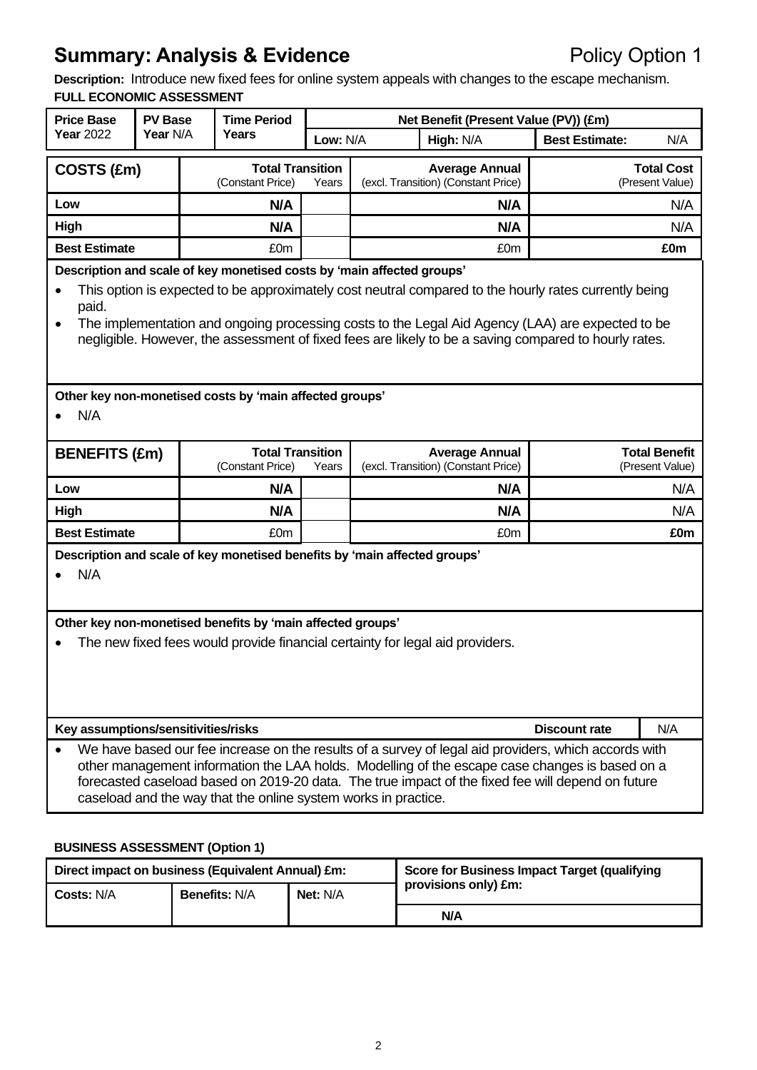**Description:** Introduce new fixed fees for online system appeals with changes to the escape mechanism. **FULL ECONOMIC ASSESSMENT**

| <b>Price Base</b>                                                                                                                                                                                                                                                                                                                                                                                                  | <b>PV Base</b><br><b>Time Period</b>                                                                                                                                                                                     |  |                                                                |                                                              |  | Net Benefit (Present Value (PV)) (£m)                        |                                                                                                                                                                                                                                                                                                             |                                         |  |
|--------------------------------------------------------------------------------------------------------------------------------------------------------------------------------------------------------------------------------------------------------------------------------------------------------------------------------------------------------------------------------------------------------------------|--------------------------------------------------------------------------------------------------------------------------------------------------------------------------------------------------------------------------|--|----------------------------------------------------------------|--------------------------------------------------------------|--|--------------------------------------------------------------|-------------------------------------------------------------------------------------------------------------------------------------------------------------------------------------------------------------------------------------------------------------------------------------------------------------|-----------------------------------------|--|
| <b>Year 2022</b>                                                                                                                                                                                                                                                                                                                                                                                                   | Year N/A                                                                                                                                                                                                                 |  | Years                                                          | Low: N/A                                                     |  | High: N/A                                                    | <b>Best Estimate:</b>                                                                                                                                                                                                                                                                                       | N/A                                     |  |
|                                                                                                                                                                                                                                                                                                                                                                                                                    | <b>Total Transition</b><br>COSTS (£m)<br>(Constant Price)                                                                                                                                                                |  | Years                                                          | <b>Average Annual</b><br>(excl. Transition) (Constant Price) |  |                                                              | <b>Total Cost</b><br>(Present Value)                                                                                                                                                                                                                                                                        |                                         |  |
| Low                                                                                                                                                                                                                                                                                                                                                                                                                |                                                                                                                                                                                                                          |  | N/A                                                            |                                                              |  | N/A                                                          |                                                                                                                                                                                                                                                                                                             | N/A                                     |  |
| High                                                                                                                                                                                                                                                                                                                                                                                                               |                                                                                                                                                                                                                          |  | N/A                                                            |                                                              |  | N/A                                                          |                                                                                                                                                                                                                                                                                                             | N/A                                     |  |
| <b>Best Estimate</b>                                                                                                                                                                                                                                                                                                                                                                                               |                                                                                                                                                                                                                          |  | £0m                                                            |                                                              |  | £0m                                                          |                                                                                                                                                                                                                                                                                                             | £0m                                     |  |
| Description and scale of key monetised costs by 'main affected groups'<br>This option is expected to be approximately cost neutral compared to the hourly rates currently being<br>paid.<br>The implementation and ongoing processing costs to the Legal Aid Agency (LAA) are expected to be<br>$\bullet$<br>negligible. However, the assessment of fixed fees are likely to be a saving compared to hourly rates. |                                                                                                                                                                                                                          |  |                                                                |                                                              |  |                                                              |                                                                                                                                                                                                                                                                                                             |                                         |  |
| N/A                                                                                                                                                                                                                                                                                                                                                                                                                |                                                                                                                                                                                                                          |  | Other key non-monetised costs by 'main affected groups'        |                                                              |  |                                                              |                                                                                                                                                                                                                                                                                                             |                                         |  |
| <b>BENEFITS (£m)</b>                                                                                                                                                                                                                                                                                                                                                                                               |                                                                                                                                                                                                                          |  | <b>Total Transition</b><br>(Constant Price)                    | Years                                                        |  | <b>Average Annual</b><br>(excl. Transition) (Constant Price) |                                                                                                                                                                                                                                                                                                             | <b>Total Benefit</b><br>(Present Value) |  |
| Low                                                                                                                                                                                                                                                                                                                                                                                                                |                                                                                                                                                                                                                          |  | N/A                                                            |                                                              |  | N/A                                                          |                                                                                                                                                                                                                                                                                                             | N/A                                     |  |
| High                                                                                                                                                                                                                                                                                                                                                                                                               |                                                                                                                                                                                                                          |  | N/A                                                            |                                                              |  | N/A                                                          |                                                                                                                                                                                                                                                                                                             | N/A                                     |  |
| <b>Best Estimate</b>                                                                                                                                                                                                                                                                                                                                                                                               |                                                                                                                                                                                                                          |  | £0m                                                            |                                                              |  | £0m                                                          |                                                                                                                                                                                                                                                                                                             | £0m                                     |  |
| N/A                                                                                                                                                                                                                                                                                                                                                                                                                | Description and scale of key monetised benefits by 'main affected groups'<br>Other key non-monetised benefits by 'main affected groups'<br>The new fixed fees would provide financial certainty for legal aid providers. |  |                                                                |                                                              |  |                                                              |                                                                                                                                                                                                                                                                                                             |                                         |  |
|                                                                                                                                                                                                                                                                                                                                                                                                                    |                                                                                                                                                                                                                          |  |                                                                |                                                              |  |                                                              |                                                                                                                                                                                                                                                                                                             |                                         |  |
| Key assumptions/sensitivities/risks                                                                                                                                                                                                                                                                                                                                                                                |                                                                                                                                                                                                                          |  |                                                                |                                                              |  |                                                              | <b>Discount rate</b>                                                                                                                                                                                                                                                                                        | N/A                                     |  |
|                                                                                                                                                                                                                                                                                                                                                                                                                    |                                                                                                                                                                                                                          |  | caseload and the way that the online system works in practice. |                                                              |  |                                                              | We have based our fee increase on the results of a survey of legal aid providers, which accords with<br>other management information the LAA holds. Modelling of the escape case changes is based on a<br>forecasted caseload based on 2019-20 data. The true impact of the fixed fee will depend on future |                                         |  |

#### **BUSINESS ASSESSMENT (Option 1)**

| Direct impact on business (Equivalent Annual) £m: |                      |                 | Score for Business Impact Target (qualifying |  |
|---------------------------------------------------|----------------------|-----------------|----------------------------------------------|--|
| <b>Costs: N/A</b>                                 | <b>Benefits: N/A</b> | <b>Net: N/A</b> | provisions only) £m:                         |  |
|                                                   |                      |                 | N/A                                          |  |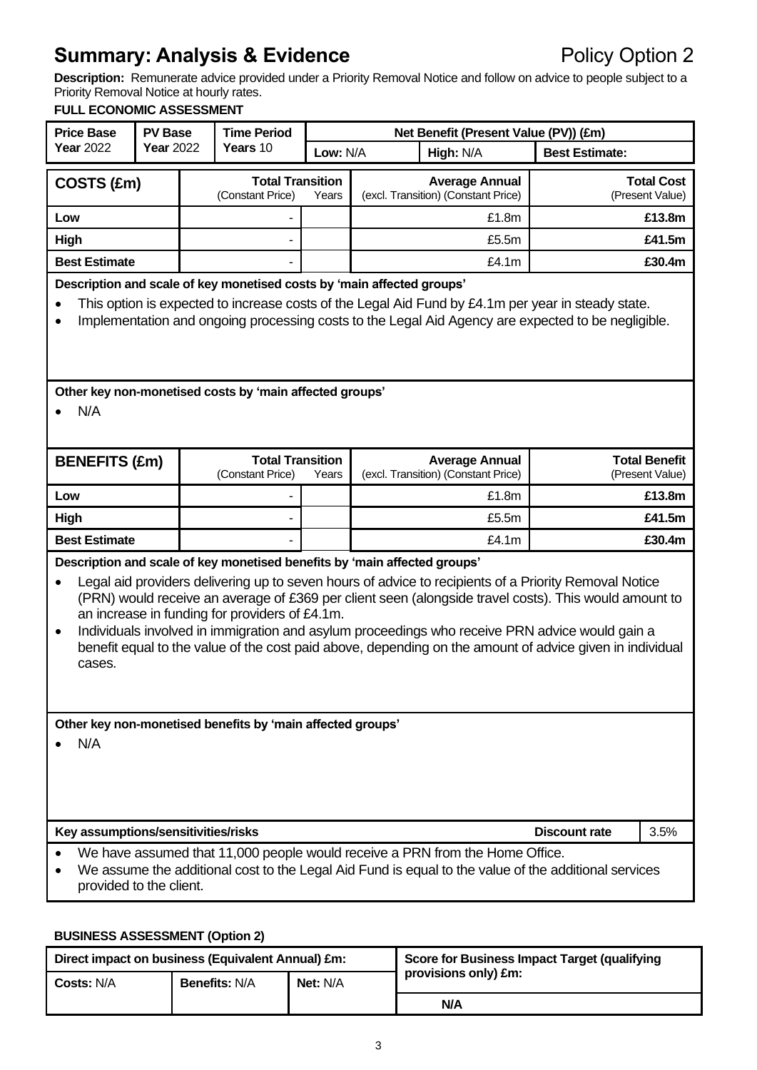**Description:** Remunerate advice provided under a Priority Removal Notice and follow on advice to people subject to a Priority Removal Notice at hourly rates.

#### **FULL ECONOMIC ASSESSMENT**

| <b>Price Base</b>                                                                                                                                                                                               | <b>PV Base</b>                                                                                                                                                                                                                                                                     |                                                      | <b>Time Period</b>                                                                                                          |          |                                                              | Net Benefit (Present Value (PV)) (£m)                        |                                                                                                                                                                                                                                                                                                                                                                                                                              |                                         |
|-----------------------------------------------------------------------------------------------------------------------------------------------------------------------------------------------------------------|------------------------------------------------------------------------------------------------------------------------------------------------------------------------------------------------------------------------------------------------------------------------------------|------------------------------------------------------|-----------------------------------------------------------------------------------------------------------------------------|----------|--------------------------------------------------------------|--------------------------------------------------------------|------------------------------------------------------------------------------------------------------------------------------------------------------------------------------------------------------------------------------------------------------------------------------------------------------------------------------------------------------------------------------------------------------------------------------|-----------------------------------------|
| <b>Year 2022</b>                                                                                                                                                                                                | <b>Year 2022</b>                                                                                                                                                                                                                                                                   |                                                      | Years 10                                                                                                                    | Low: N/A |                                                              | High: N/A                                                    | <b>Best Estimate:</b>                                                                                                                                                                                                                                                                                                                                                                                                        |                                         |
| COSTS (£m)                                                                                                                                                                                                      |                                                                                                                                                                                                                                                                                    | <b>Total Transition</b><br>(Constant Price)<br>Years |                                                                                                                             |          | <b>Average Annual</b><br>(excl. Transition) (Constant Price) |                                                              | <b>Total Cost</b><br>(Present Value)                                                                                                                                                                                                                                                                                                                                                                                         |                                         |
| Low                                                                                                                                                                                                             |                                                                                                                                                                                                                                                                                    |                                                      |                                                                                                                             |          |                                                              | £1.8m                                                        |                                                                                                                                                                                                                                                                                                                                                                                                                              | £13.8m                                  |
| High                                                                                                                                                                                                            |                                                                                                                                                                                                                                                                                    |                                                      |                                                                                                                             |          |                                                              | £5.5m                                                        |                                                                                                                                                                                                                                                                                                                                                                                                                              | £41.5m                                  |
| <b>Best Estimate</b>                                                                                                                                                                                            |                                                                                                                                                                                                                                                                                    |                                                      |                                                                                                                             |          |                                                              | £4.1m                                                        |                                                                                                                                                                                                                                                                                                                                                                                                                              | £30.4m                                  |
|                                                                                                                                                                                                                 | Description and scale of key monetised costs by 'main affected groups'<br>This option is expected to increase costs of the Legal Aid Fund by £4.1m per year in steady state.<br>Implementation and ongoing processing costs to the Legal Aid Agency are expected to be negligible. |                                                      |                                                                                                                             |          |                                                              |                                                              |                                                                                                                                                                                                                                                                                                                                                                                                                              |                                         |
| N/A                                                                                                                                                                                                             |                                                                                                                                                                                                                                                                                    |                                                      | Other key non-monetised costs by 'main affected groups'                                                                     |          |                                                              |                                                              |                                                                                                                                                                                                                                                                                                                                                                                                                              |                                         |
| <b>BENEFITS (£m)</b>                                                                                                                                                                                            |                                                                                                                                                                                                                                                                                    |                                                      | <b>Total Transition</b><br>(Constant Price)                                                                                 | Years    |                                                              | <b>Average Annual</b><br>(excl. Transition) (Constant Price) |                                                                                                                                                                                                                                                                                                                                                                                                                              | <b>Total Benefit</b><br>(Present Value) |
| Low                                                                                                                                                                                                             |                                                                                                                                                                                                                                                                                    |                                                      |                                                                                                                             |          |                                                              | £1.8m                                                        |                                                                                                                                                                                                                                                                                                                                                                                                                              | £13.8m                                  |
| High                                                                                                                                                                                                            |                                                                                                                                                                                                                                                                                    |                                                      |                                                                                                                             |          |                                                              | £5.5m                                                        |                                                                                                                                                                                                                                                                                                                                                                                                                              | £41.5m                                  |
| <b>Best Estimate</b>                                                                                                                                                                                            |                                                                                                                                                                                                                                                                                    |                                                      |                                                                                                                             |          |                                                              | £4.1m                                                        |                                                                                                                                                                                                                                                                                                                                                                                                                              | £30.4m                                  |
| $\bullet$<br>cases.                                                                                                                                                                                             |                                                                                                                                                                                                                                                                                    |                                                      | Description and scale of key monetised benefits by 'main affected groups'<br>an increase in funding for providers of £4.1m. |          |                                                              |                                                              | Legal aid providers delivering up to seven hours of advice to recipients of a Priority Removal Notice<br>(PRN) would receive an average of £369 per client seen (alongside travel costs). This would amount to<br>Individuals involved in immigration and asylum proceedings who receive PRN advice would gain a<br>benefit equal to the value of the cost paid above, depending on the amount of advice given in individual |                                         |
| Other key non-monetised benefits by 'main affected groups'<br>N/A                                                                                                                                               |                                                                                                                                                                                                                                                                                    |                                                      |                                                                                                                             |          |                                                              |                                                              |                                                                                                                                                                                                                                                                                                                                                                                                                              |                                         |
| Key assumptions/sensitivities/risks<br><b>Discount rate</b><br>3.5%                                                                                                                                             |                                                                                                                                                                                                                                                                                    |                                                      |                                                                                                                             |          |                                                              |                                                              |                                                                                                                                                                                                                                                                                                                                                                                                                              |                                         |
| We have assumed that 11,000 people would receive a PRN from the Home Office.<br>We assume the additional cost to the Legal Aid Fund is equal to the value of the additional services<br>provided to the client. |                                                                                                                                                                                                                                                                                    |                                                      |                                                                                                                             |          |                                                              |                                                              |                                                                                                                                                                                                                                                                                                                                                                                                                              |                                         |

#### **BUSINESS ASSESSMENT (Option 2)**

| Direct impact on business (Equivalent Annual) £m: |                      |                 | Score for Business Impact Target (qualifying |  |
|---------------------------------------------------|----------------------|-----------------|----------------------------------------------|--|
| <b>Costs: N/A</b>                                 | <b>Benefits: N/A</b> | <b>Net: N/A</b> | provisions only) £m:                         |  |
|                                                   |                      |                 | N/A                                          |  |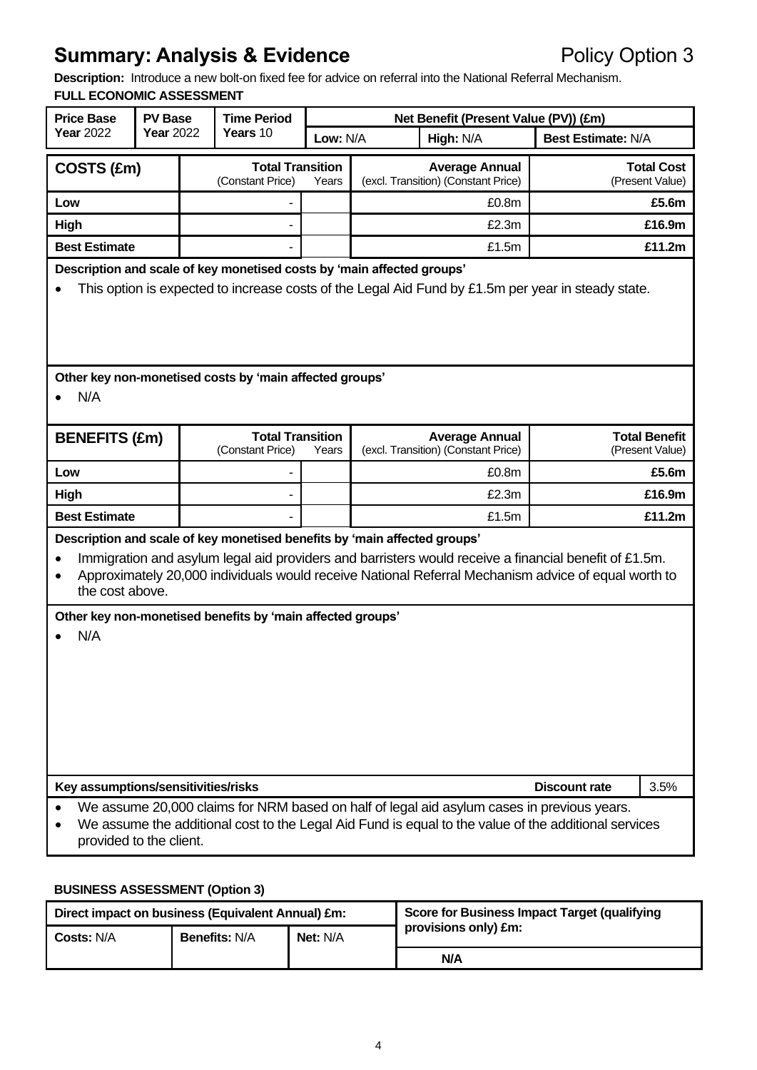**Description:** Introduce a new bolt-on fixed fee for advice on referral into the National Referral Mechanism. **FULL ECONOMIC ASSESSMENT**

| <b>Price Base</b>                   | <b>PV Base</b>                                                                                                                                                                                                                                                       |  | <b>Time Period</b>                                                                                                                      |          |  | Net Benefit (Present Value (PV)) (£m)                                                                                                                                                                        |                           |                                         |
|-------------------------------------|----------------------------------------------------------------------------------------------------------------------------------------------------------------------------------------------------------------------------------------------------------------------|--|-----------------------------------------------------------------------------------------------------------------------------------------|----------|--|--------------------------------------------------------------------------------------------------------------------------------------------------------------------------------------------------------------|---------------------------|-----------------------------------------|
| <b>Year 2022</b>                    | Year 2022                                                                                                                                                                                                                                                            |  | Years 10                                                                                                                                | Low: N/A |  | High: N/A                                                                                                                                                                                                    | <b>Best Estimate: N/A</b> |                                         |
| COSTS (£m)                          |                                                                                                                                                                                                                                                                      |  | <b>Total Transition</b><br>(Constant Price)                                                                                             | Years    |  | <b>Average Annual</b><br>(excl. Transition) (Constant Price)                                                                                                                                                 |                           | <b>Total Cost</b><br>(Present Value)    |
| Low                                 |                                                                                                                                                                                                                                                                      |  |                                                                                                                                         |          |  | £0.8m                                                                                                                                                                                                        |                           | £5.6m                                   |
| High                                |                                                                                                                                                                                                                                                                      |  | ٠                                                                                                                                       |          |  | £2.3m                                                                                                                                                                                                        |                           | £16.9m                                  |
| <b>Best Estimate</b>                |                                                                                                                                                                                                                                                                      |  |                                                                                                                                         |          |  | £1.5m                                                                                                                                                                                                        |                           | £11.2m                                  |
|                                     | Description and scale of key monetised costs by 'main affected groups'<br>This option is expected to increase costs of the Legal Aid Fund by £1.5m per year in steady state.                                                                                         |  |                                                                                                                                         |          |  |                                                                                                                                                                                                              |                           |                                         |
| N/A                                 |                                                                                                                                                                                                                                                                      |  | Other key non-monetised costs by 'main affected groups'                                                                                 |          |  |                                                                                                                                                                                                              |                           |                                         |
| <b>BENEFITS (£m)</b>                |                                                                                                                                                                                                                                                                      |  | <b>Total Transition</b><br>(Constant Price)                                                                                             | Years    |  | <b>Average Annual</b><br>(excl. Transition) (Constant Price)                                                                                                                                                 |                           | <b>Total Benefit</b><br>(Present Value) |
| Low                                 |                                                                                                                                                                                                                                                                      |  |                                                                                                                                         |          |  | £0.8m                                                                                                                                                                                                        |                           | £5.6m                                   |
| High                                |                                                                                                                                                                                                                                                                      |  |                                                                                                                                         |          |  | £2.3m                                                                                                                                                                                                        |                           | £16.9m                                  |
| <b>Best Estimate</b>                |                                                                                                                                                                                                                                                                      |  |                                                                                                                                         |          |  | £1.5m                                                                                                                                                                                                        |                           | £11.2m                                  |
| $\bullet$<br>the cost above.<br>N/A |                                                                                                                                                                                                                                                                      |  | Description and scale of key monetised benefits by 'main affected groups'<br>Other key non-monetised benefits by 'main affected groups' |          |  | Immigration and asylum legal aid providers and barristers would receive a financial benefit of £1.5m.<br>Approximately 20,000 individuals would receive National Referral Mechanism advice of equal worth to |                           |                                         |
| <b>Discount rate</b><br>3.5%        |                                                                                                                                                                                                                                                                      |  |                                                                                                                                         |          |  |                                                                                                                                                                                                              |                           |                                         |
|                                     | Key assumptions/sensitivities/risks<br>We assume 20,000 claims for NRM based on half of legal aid asylum cases in previous years.<br>We assume the additional cost to the Legal Aid Fund is equal to the value of the additional services<br>provided to the client. |  |                                                                                                                                         |          |  |                                                                                                                                                                                                              |                           |                                         |

#### **BUSINESS ASSESSMENT (Option 3)**

| Direct impact on business (Equivalent Annual) £m: |                      |                 | Score for Business Impact Target (qualifying |  |
|---------------------------------------------------|----------------------|-----------------|----------------------------------------------|--|
| <b>Costs: N/A</b>                                 | <b>Benefits: N/A</b> | <b>Net: N/A</b> | provisions only) £m:                         |  |
|                                                   |                      |                 | N/A                                          |  |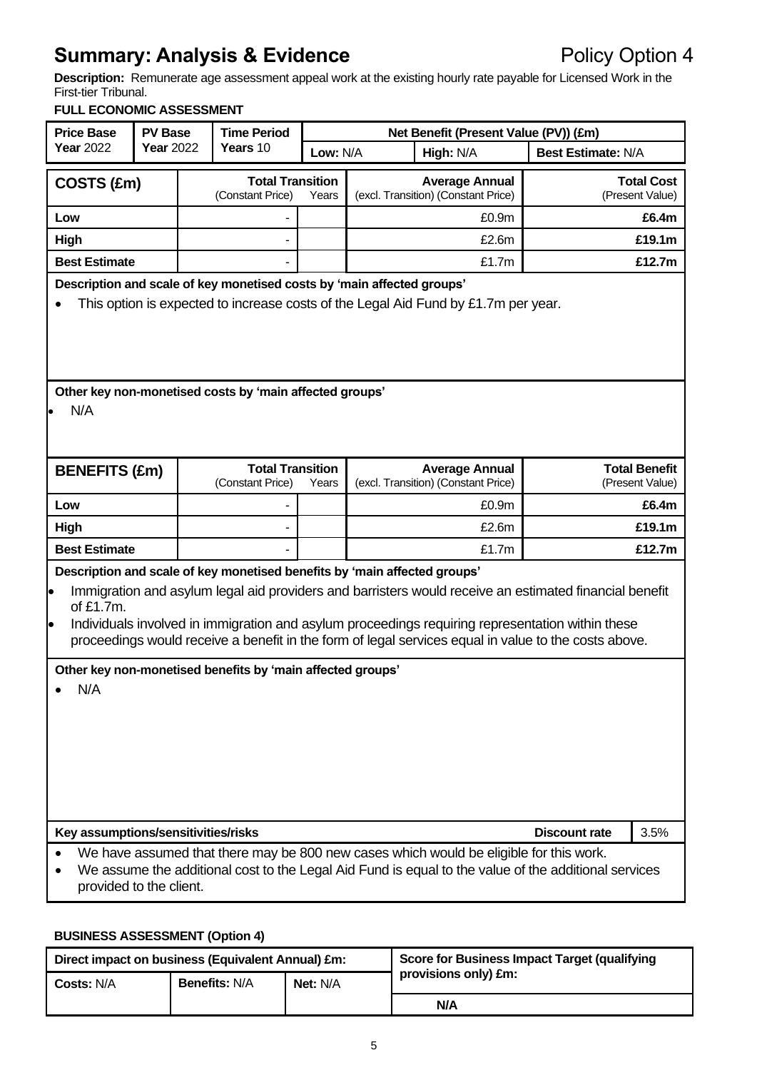**Description:** Remunerate age assessment appeal work at the existing hourly rate payable for Licensed Work in the First-tier Tribunal.

#### **FULL ECONOMIC ASSESSMENT**

| <b>Price Base</b>                                                                                                                                                                                                                                                                                | <b>PV Base</b>   |                                                      | <b>Time Period</b>                                         |          | Net Benefit (Present Value (PV)) (£m)                                                                                                                                                                                                                                                                                                                                                           |                           |                                         |
|--------------------------------------------------------------------------------------------------------------------------------------------------------------------------------------------------------------------------------------------------------------------------------------------------|------------------|------------------------------------------------------|------------------------------------------------------------|----------|-------------------------------------------------------------------------------------------------------------------------------------------------------------------------------------------------------------------------------------------------------------------------------------------------------------------------------------------------------------------------------------------------|---------------------------|-----------------------------------------|
| <b>Year 2022</b>                                                                                                                                                                                                                                                                                 | <b>Year 2022</b> |                                                      | Years 10                                                   | Low: N/A | High: N/A                                                                                                                                                                                                                                                                                                                                                                                       | <b>Best Estimate: N/A</b> |                                         |
| COSTS (£m)                                                                                                                                                                                                                                                                                       |                  | <b>Total Transition</b><br>(Constant Price)<br>Years |                                                            |          | <b>Average Annual</b><br>(excl. Transition) (Constant Price)                                                                                                                                                                                                                                                                                                                                    |                           | <b>Total Cost</b><br>(Present Value)    |
| Low                                                                                                                                                                                                                                                                                              |                  |                                                      |                                                            |          | £0.9m                                                                                                                                                                                                                                                                                                                                                                                           |                           | £6.4m                                   |
| High                                                                                                                                                                                                                                                                                             |                  |                                                      |                                                            |          | £2.6m                                                                                                                                                                                                                                                                                                                                                                                           |                           | £19.1m                                  |
| <b>Best Estimate</b>                                                                                                                                                                                                                                                                             |                  |                                                      |                                                            |          | £1.7m                                                                                                                                                                                                                                                                                                                                                                                           |                           | £12.7m                                  |
| Description and scale of key monetised costs by 'main affected groups'<br>This option is expected to increase costs of the Legal Aid Fund by £1.7m per year.<br>Other key non-monetised costs by 'main affected groups'                                                                          |                  |                                                      |                                                            |          |                                                                                                                                                                                                                                                                                                                                                                                                 |                           |                                         |
| N/A                                                                                                                                                                                                                                                                                              |                  |                                                      |                                                            |          |                                                                                                                                                                                                                                                                                                                                                                                                 |                           |                                         |
| <b>BENEFITS (£m)</b>                                                                                                                                                                                                                                                                             |                  |                                                      | <b>Total Transition</b><br>(Constant Price)                | Years    | <b>Average Annual</b><br>(excl. Transition) (Constant Price)                                                                                                                                                                                                                                                                                                                                    |                           | <b>Total Benefit</b><br>(Present Value) |
| Low                                                                                                                                                                                                                                                                                              |                  |                                                      |                                                            |          | £0.9m                                                                                                                                                                                                                                                                                                                                                                                           |                           | £6.4m                                   |
| <b>High</b>                                                                                                                                                                                                                                                                                      |                  |                                                      |                                                            |          | £2.6m                                                                                                                                                                                                                                                                                                                                                                                           |                           | £19.1m                                  |
| <b>Best Estimate</b>                                                                                                                                                                                                                                                                             |                  |                                                      |                                                            |          | £1.7m                                                                                                                                                                                                                                                                                                                                                                                           |                           | £12.7m                                  |
| þ<br>of £1.7m.<br>l.<br>N/A                                                                                                                                                                                                                                                                      |                  |                                                      | Other key non-monetised benefits by 'main affected groups' |          | Description and scale of key monetised benefits by 'main affected groups'<br>Immigration and asylum legal aid providers and barristers would receive an estimated financial benefit<br>Individuals involved in immigration and asylum proceedings requiring representation within these<br>proceedings would receive a benefit in the form of legal services equal in value to the costs above. |                           |                                         |
| Key assumptions/sensitivities/risks<br><b>Discount rate</b><br>3.5%<br>We have assumed that there may be 800 new cases which would be eligible for this work.<br>We assume the additional cost to the Legal Aid Fund is equal to the value of the additional services<br>provided to the client. |                  |                                                      |                                                            |          |                                                                                                                                                                                                                                                                                                                                                                                                 |                           |                                         |

#### **BUSINESS ASSESSMENT (Option 4)**

| Direct impact on business (Equivalent Annual) £m: |                      |                 | Score for Business Impact Target (qualifying |  |
|---------------------------------------------------|----------------------|-----------------|----------------------------------------------|--|
| <b>Costs: N/A</b>                                 | <b>Benefits: N/A</b> | <b>Net: N/A</b> | provisions only) £m:                         |  |
|                                                   |                      |                 | N/A                                          |  |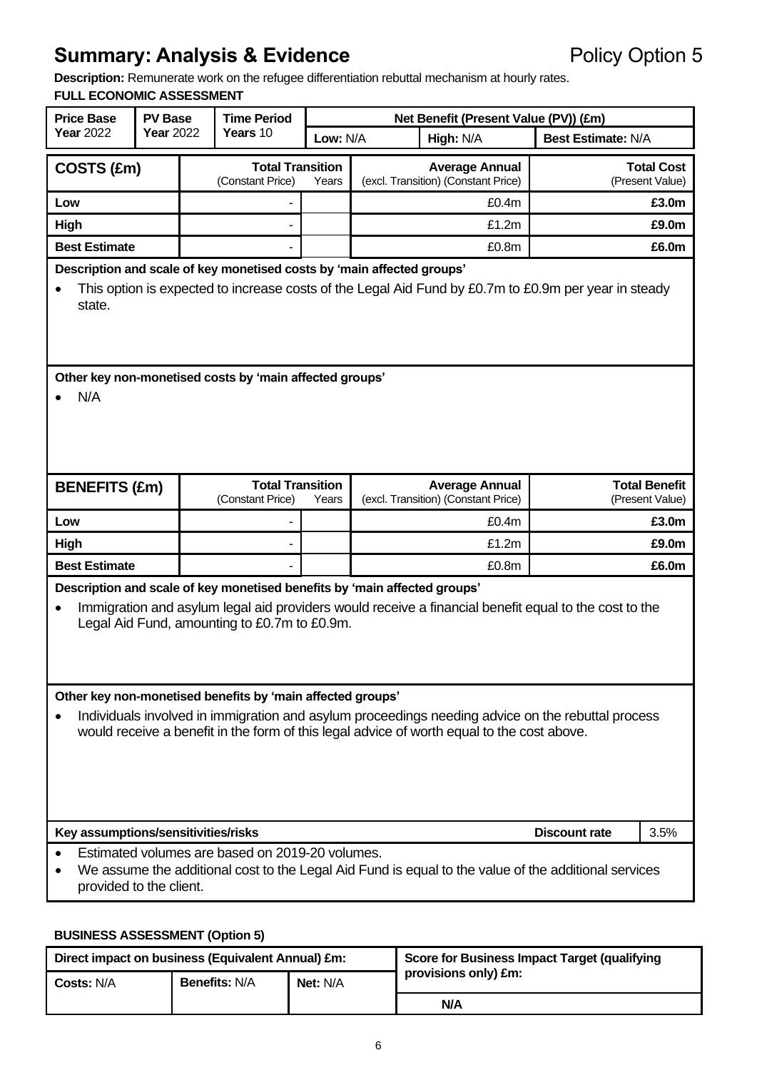**Description:** Remunerate work on the refugee differentiation rebuttal mechanism at hourly rates.

## **FULL ECONOMIC ASSESSMENT**

| <b>Price Base</b>                                                                                                                                                                                                                                             | <b>PV Base</b>                                                                                                                                                                                                            |  | <b>Time Period</b>                           |          | Net Benefit (Present Value (PV)) (£m)                                                                                                                                              |                           |                                         |  |
|---------------------------------------------------------------------------------------------------------------------------------------------------------------------------------------------------------------------------------------------------------------|---------------------------------------------------------------------------------------------------------------------------------------------------------------------------------------------------------------------------|--|----------------------------------------------|----------|------------------------------------------------------------------------------------------------------------------------------------------------------------------------------------|---------------------------|-----------------------------------------|--|
| <b>Year 2022</b>                                                                                                                                                                                                                                              | <b>Year 2022</b>                                                                                                                                                                                                          |  | Years 10                                     | Low: N/A | High: N/A                                                                                                                                                                          | <b>Best Estimate: N/A</b> |                                         |  |
| COSTS (£m)                                                                                                                                                                                                                                                    |                                                                                                                                                                                                                           |  | <b>Total Transition</b><br>(Constant Price)  | Years    | <b>Average Annual</b><br>(excl. Transition) (Constant Price)                                                                                                                       |                           | <b>Total Cost</b><br>(Present Value)    |  |
| Low                                                                                                                                                                                                                                                           |                                                                                                                                                                                                                           |  |                                              |          | £0.4m                                                                                                                                                                              |                           | £3.0m                                   |  |
| <b>High</b>                                                                                                                                                                                                                                                   |                                                                                                                                                                                                                           |  |                                              |          | £1.2m                                                                                                                                                                              |                           | £9.0m                                   |  |
| <b>Best Estimate</b>                                                                                                                                                                                                                                          |                                                                                                                                                                                                                           |  |                                              |          | £0.8m                                                                                                                                                                              |                           | £6.0m                                   |  |
| state.                                                                                                                                                                                                                                                        | Description and scale of key monetised costs by 'main affected groups'<br>This option is expected to increase costs of the Legal Aid Fund by £0.7m to £0.9m per year in steady                                            |  |                                              |          |                                                                                                                                                                                    |                           |                                         |  |
| N/A                                                                                                                                                                                                                                                           | Other key non-monetised costs by 'main affected groups'                                                                                                                                                                   |  |                                              |          |                                                                                                                                                                                    |                           |                                         |  |
| <b>BENEFITS (£m)</b>                                                                                                                                                                                                                                          |                                                                                                                                                                                                                           |  | <b>Total Transition</b><br>(Constant Price)  | Years    | <b>Average Annual</b><br>(excl. Transition) (Constant Price)                                                                                                                       |                           | <b>Total Benefit</b><br>(Present Value) |  |
| Low                                                                                                                                                                                                                                                           |                                                                                                                                                                                                                           |  |                                              |          | £0.4m                                                                                                                                                                              |                           | £3.0m                                   |  |
| High                                                                                                                                                                                                                                                          |                                                                                                                                                                                                                           |  |                                              |          | £1.2m                                                                                                                                                                              |                           | £9.0m                                   |  |
| <b>Best Estimate</b>                                                                                                                                                                                                                                          |                                                                                                                                                                                                                           |  |                                              |          | £0.8m                                                                                                                                                                              |                           | £6.0m                                   |  |
|                                                                                                                                                                                                                                                               |                                                                                                                                                                                                                           |  | Legal Aid Fund, amounting to £0.7m to £0.9m. |          | Description and scale of key monetised benefits by 'main affected groups'<br>Immigration and asylum legal aid providers would receive a financial benefit equal to the cost to the |                           |                                         |  |
| Other key non-monetised benefits by 'main affected groups'<br>Individuals involved in immigration and asylum proceedings needing advice on the rebuttal process<br>would receive a benefit in the form of this legal advice of worth equal to the cost above. |                                                                                                                                                                                                                           |  |                                              |          |                                                                                                                                                                                    |                           |                                         |  |
|                                                                                                                                                                                                                                                               | <b>Discount rate</b><br>3.5%                                                                                                                                                                                              |  |                                              |          |                                                                                                                                                                                    |                           |                                         |  |
|                                                                                                                                                                                                                                                               | Key assumptions/sensitivities/risks<br>Estimated volumes are based on 2019-20 volumes.<br>We assume the additional cost to the Legal Aid Fund is equal to the value of the additional services<br>provided to the client. |  |                                              |          |                                                                                                                                                                                    |                           |                                         |  |

#### **BUSINESS ASSESSMENT (Option 5)**

| Direct impact on business (Equivalent Annual) £m: |                      |          | Score for Business Impact Target (qualifying |  |
|---------------------------------------------------|----------------------|----------|----------------------------------------------|--|
| <b>Costs: N/A</b>                                 | <b>Benefits: N/A</b> | Net: N/A | provisions only) £m:                         |  |
|                                                   |                      |          | N/A                                          |  |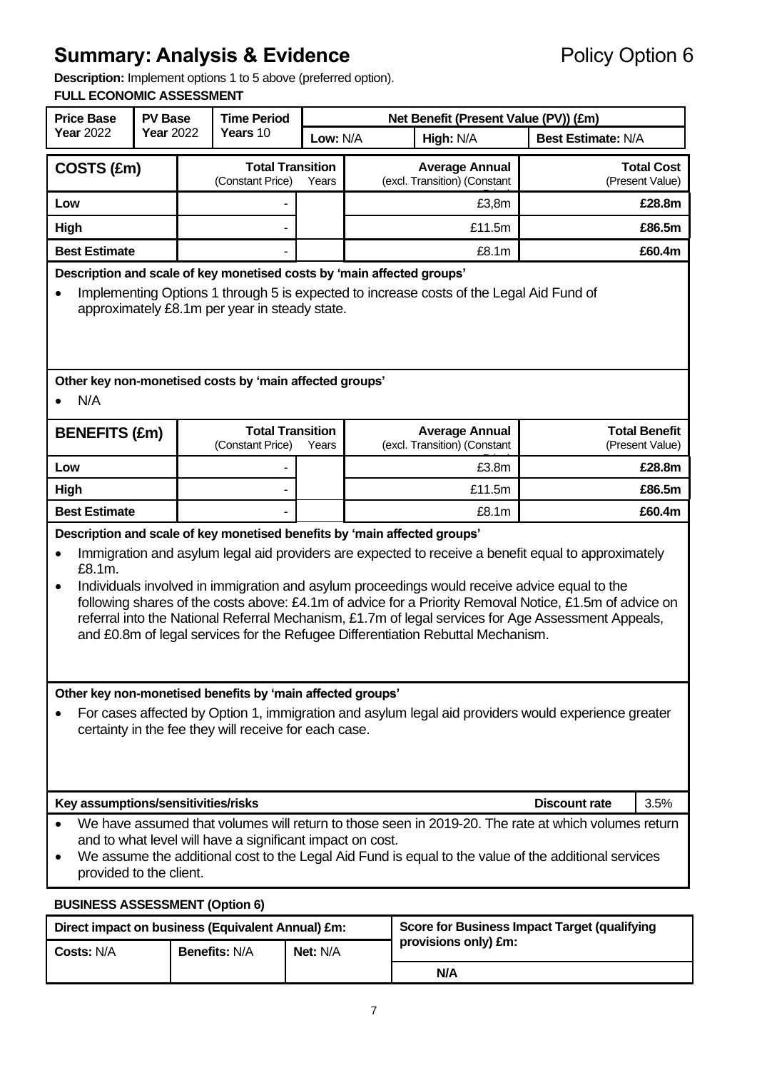**Description:** Implement options 1 to 5 above (preferred option).

#### **FULL ECONOMIC ASSESSMENT**

| <b>Price Base</b><br><b>PV Base</b><br><b>Year 2022</b><br><b>Year 2022</b>                                                                                                                                                                                                                                                                                                                                                                                                                                                                                                                                             |  | <b>Time Period</b> |                                                         | Net Benefit (Present Value (PV)) (£m) |                       |                                                       |                           |                                         |  |
|-------------------------------------------------------------------------------------------------------------------------------------------------------------------------------------------------------------------------------------------------------------------------------------------------------------------------------------------------------------------------------------------------------------------------------------------------------------------------------------------------------------------------------------------------------------------------------------------------------------------------|--|--------------------|---------------------------------------------------------|---------------------------------------|-----------------------|-------------------------------------------------------|---------------------------|-----------------------------------------|--|
|                                                                                                                                                                                                                                                                                                                                                                                                                                                                                                                                                                                                                         |  |                    | Years 10                                                |                                       | Low: N/A<br>High: N/A |                                                       | <b>Best Estimate: N/A</b> |                                         |  |
| COSTS (£m)                                                                                                                                                                                                                                                                                                                                                                                                                                                                                                                                                                                                              |  |                    | <b>Total Transition</b><br>(Constant Price)             | Years                                 |                       | <b>Average Annual</b><br>(excl. Transition) (Constant |                           | <b>Total Cost</b><br>(Present Value)    |  |
| Low                                                                                                                                                                                                                                                                                                                                                                                                                                                                                                                                                                                                                     |  |                    |                                                         |                                       |                       | £3,8m                                                 |                           | £28.8m                                  |  |
| High                                                                                                                                                                                                                                                                                                                                                                                                                                                                                                                                                                                                                    |  |                    |                                                         |                                       |                       | £11.5m                                                |                           | £86.5m                                  |  |
| <b>Best Estimate</b>                                                                                                                                                                                                                                                                                                                                                                                                                                                                                                                                                                                                    |  |                    |                                                         |                                       | £8.1m                 |                                                       | £60.4m                    |                                         |  |
| Description and scale of key monetised costs by 'main affected groups'<br>Implementing Options 1 through 5 is expected to increase costs of the Legal Aid Fund of<br>approximately £8.1m per year in steady state.                                                                                                                                                                                                                                                                                                                                                                                                      |  |                    |                                                         |                                       |                       |                                                       |                           |                                         |  |
| N/A                                                                                                                                                                                                                                                                                                                                                                                                                                                                                                                                                                                                                     |  |                    | Other key non-monetised costs by 'main affected groups' |                                       |                       |                                                       |                           |                                         |  |
| <b>BENEFITS (£m)</b>                                                                                                                                                                                                                                                                                                                                                                                                                                                                                                                                                                                                    |  |                    | <b>Total Transition</b><br>(Constant Price)             | Years                                 |                       | <b>Average Annual</b><br>(excl. Transition) (Constant |                           | <b>Total Benefit</b><br>(Present Value) |  |
| Low                                                                                                                                                                                                                                                                                                                                                                                                                                                                                                                                                                                                                     |  |                    |                                                         |                                       |                       | £3.8m                                                 |                           | £28.8m                                  |  |
| High                                                                                                                                                                                                                                                                                                                                                                                                                                                                                                                                                                                                                    |  |                    |                                                         |                                       | £11.5m                |                                                       |                           | £86.5m                                  |  |
| <b>Best Estimate</b>                                                                                                                                                                                                                                                                                                                                                                                                                                                                                                                                                                                                    |  |                    |                                                         |                                       | £8.1m                 |                                                       |                           | £60.4m                                  |  |
| Description and scale of key monetised benefits by 'main affected groups'<br>Immigration and asylum legal aid providers are expected to receive a benefit equal to approximately<br>$\bullet$<br>£8.1m.<br>Individuals involved in immigration and asylum proceedings would receive advice equal to the<br>$\bullet$<br>following shares of the costs above: £4.1m of advice for a Priority Removal Notice, £1.5m of advice on<br>referral into the National Referral Mechanism, £1.7m of legal services for Age Assessment Appeals,<br>and £0.8m of legal services for the Refugee Differentiation Rebuttal Mechanism. |  |                    |                                                         |                                       |                       |                                                       |                           |                                         |  |
| Other key non-monetised benefits by 'main affected groups'<br>For cases affected by Option 1, immigration and asylum legal aid providers would experience greater<br>certainty in the fee they will receive for each case.                                                                                                                                                                                                                                                                                                                                                                                              |  |                    |                                                         |                                       |                       |                                                       |                           |                                         |  |
| <b>Discount rate</b><br>Key assumptions/sensitivities/risks<br>3.5%                                                                                                                                                                                                                                                                                                                                                                                                                                                                                                                                                     |  |                    |                                                         |                                       |                       |                                                       |                           |                                         |  |
| We have assumed that volumes will return to those seen in 2019-20. The rate at which volumes return<br>and to what level will have a significant impact on cost.<br>We assume the additional cost to the Legal Aid Fund is equal to the value of the additional services<br>provided to the client.                                                                                                                                                                                                                                                                                                                     |  |                    |                                                         |                                       |                       |                                                       |                           |                                         |  |
| <b>BUSINESS ASSESSMENT (Option 6)</b>                                                                                                                                                                                                                                                                                                                                                                                                                                                                                                                                                                                   |  |                    |                                                         |                                       |                       |                                                       |                           |                                         |  |
| Score for Business Impact Target (qualifying<br>Direct impact on business (Equivalent Annual) £m:                                                                                                                                                                                                                                                                                                                                                                                                                                                                                                                       |  |                    |                                                         |                                       |                       |                                                       |                           |                                         |  |

| Direct impact on business (Equivalent Annual) £m: |                      |                 | <b>Score for Business Impact Target (qualifying</b> |  |
|---------------------------------------------------|----------------------|-----------------|-----------------------------------------------------|--|
| Costs: N/A                                        | <b>Benefits: N/A</b> | <b>Net: N/A</b> | provisions only) £m:                                |  |
|                                                   |                      |                 | N/A                                                 |  |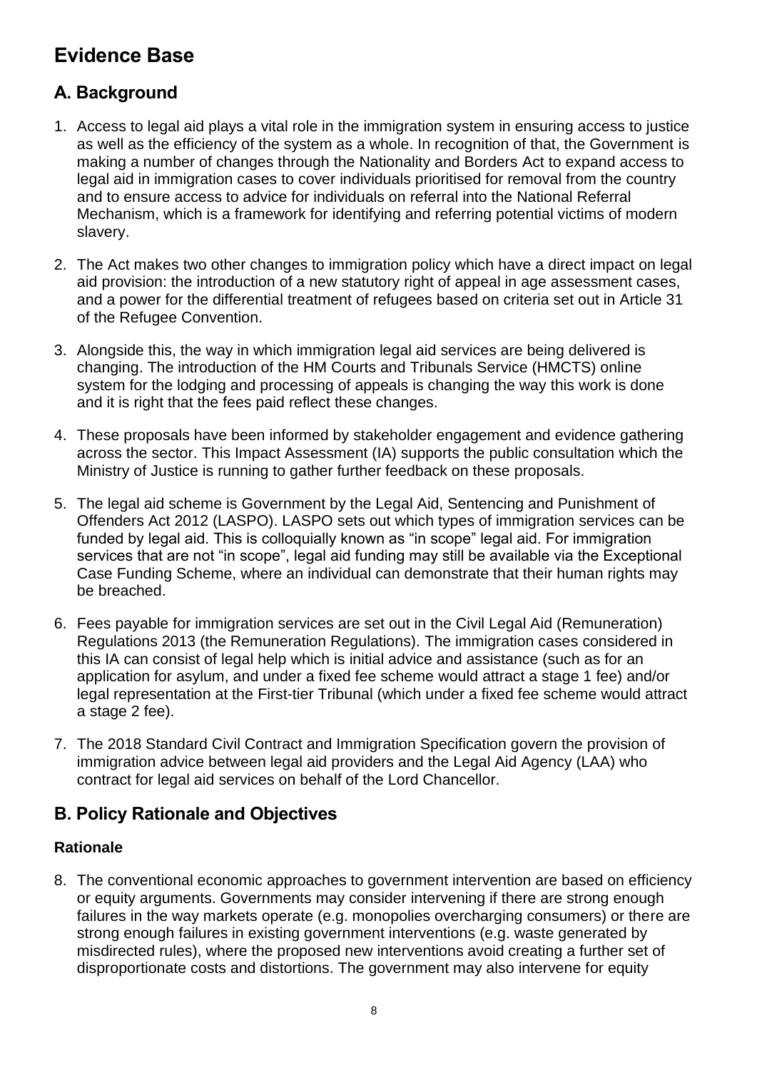# **Evidence Base**

# **A. Background**

- 1. Access to legal aid plays a vital role in the immigration system in ensuring access to justice as well as the efficiency of the system as a whole. In recognition of that, the Government is making a number of changes through the Nationality and Borders Act to expand access to legal aid in immigration cases to cover individuals prioritised for removal from the country and to ensure access to advice for individuals on referral into the National Referral Mechanism, which is a framework for identifying and referring potential victims of modern slavery.
- 2. The Act makes two other changes to immigration policy which have a direct impact on legal aid provision: the introduction of a new statutory right of appeal in age assessment cases, and a power for the differential treatment of refugees based on criteria set out in Article 31 of the Refugee Convention.
- 3. Alongside this, the way in which immigration legal aid services are being delivered is changing. The introduction of the HM Courts and Tribunals Service (HMCTS) online system for the lodging and processing of appeals is changing the way this work is done and it is right that the fees paid reflect these changes.
- 4. These proposals have been informed by stakeholder engagement and evidence gathering across the sector. This Impact Assessment (IA) supports the public consultation which the Ministry of Justice is running to gather further feedback on these proposals.
- 5. The legal aid scheme is Government by the Legal Aid, Sentencing and Punishment of Offenders Act 2012 (LASPO). LASPO sets out which types of immigration services can be funded by legal aid. This is colloquially known as "in scope" legal aid. For immigration services that are not "in scope", legal aid funding may still be available via the Exceptional Case Funding Scheme, where an individual can demonstrate that their human rights may be breached.
- 6. Fees payable for immigration services are set out in the Civil Legal Aid (Remuneration) Regulations 2013 (the Remuneration Regulations). The immigration cases considered in this IA can consist of legal help which is initial advice and assistance (such as for an application for asylum, and under a fixed fee scheme would attract a stage 1 fee) and/or legal representation at the First-tier Tribunal (which under a fixed fee scheme would attract a stage 2 fee).
- 7. The 2018 Standard Civil Contract and Immigration Specification govern the provision of immigration advice between legal aid providers and the Legal Aid Agency (LAA) who contract for legal aid services on behalf of the Lord Chancellor.

## **B. Policy Rationale and Objectives**

## **Rationale**

8. The conventional economic approaches to government intervention are based on efficiency or equity arguments. Governments may consider intervening if there are strong enough failures in the way markets operate (e.g. monopolies overcharging consumers) or there are strong enough failures in existing government interventions (e.g. waste generated by misdirected rules), where the proposed new interventions avoid creating a further set of disproportionate costs and distortions. The government may also intervene for equity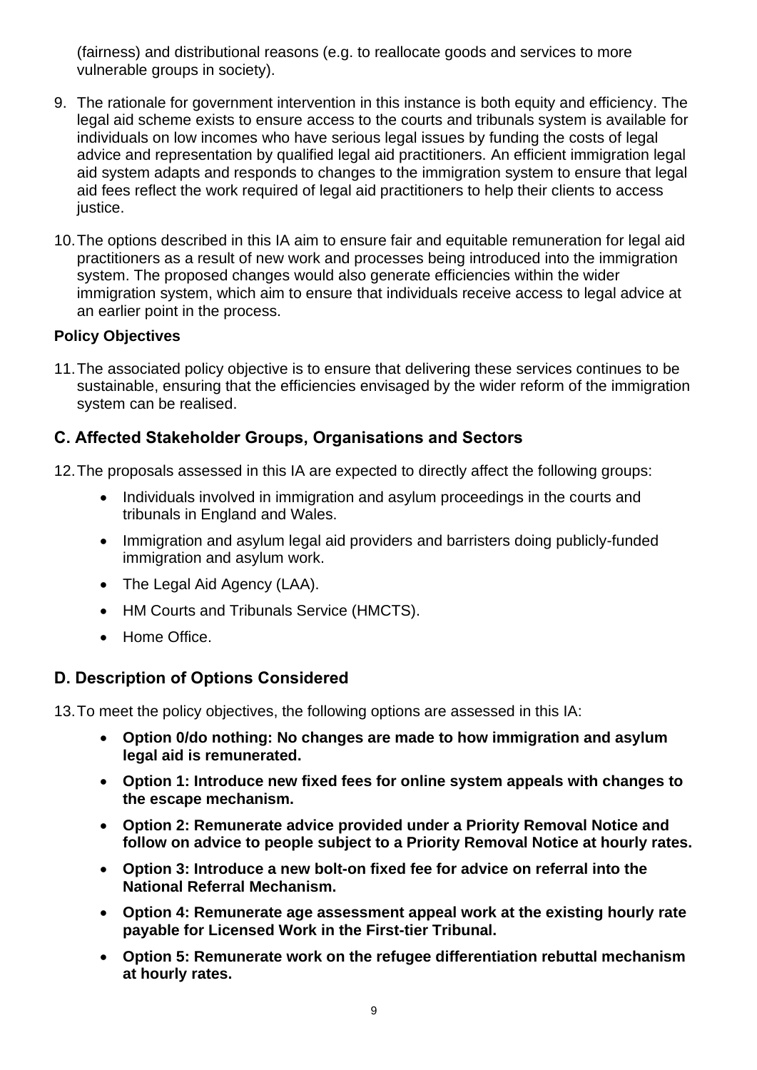(fairness) and distributional reasons (e.g. to reallocate goods and services to more vulnerable groups in society).

- 9. The rationale for government intervention in this instance is both equity and efficiency. The legal aid scheme exists to ensure access to the courts and tribunals system is available for individuals on low incomes who have serious legal issues by funding the costs of legal advice and representation by qualified legal aid practitioners. An efficient immigration legal aid system adapts and responds to changes to the immigration system to ensure that legal aid fees reflect the work required of legal aid practitioners to help their clients to access justice.
- 10.The options described in this IA aim to ensure fair and equitable remuneration for legal aid practitioners as a result of new work and processes being introduced into the immigration system. The proposed changes would also generate efficiencies within the wider immigration system, which aim to ensure that individuals receive access to legal advice at an earlier point in the process.

## **Policy Objectives**

11.The associated policy objective is to ensure that delivering these services continues to be sustainable, ensuring that the efficiencies envisaged by the wider reform of the immigration system can be realised.

## **C. Affected Stakeholder Groups, Organisations and Sectors**

- 12.The proposals assessed in this IA are expected to directly affect the following groups:
	- Individuals involved in immigration and asylum proceedings in the courts and tribunals in England and Wales.
	- Immigration and asylum legal aid providers and barristers doing publicly-funded immigration and asylum work.
	- The Legal Aid Agency (LAA).
	- HM Courts and Tribunals Service (HMCTS).
	- Home Office.

## **D. Description of Options Considered**

13.To meet the policy objectives, the following options are assessed in this IA:

- **Option 0/do nothing: No changes are made to how immigration and asylum legal aid is remunerated.**
- **Option 1: Introduce new fixed fees for online system appeals with changes to the escape mechanism.**
- **Option 2: Remunerate advice provided under a Priority Removal Notice and follow on advice to people subject to a Priority Removal Notice at hourly rates.**
- **Option 3: Introduce a new bolt-on fixed fee for advice on referral into the National Referral Mechanism.**
- **Option 4: Remunerate age assessment appeal work at the existing hourly rate payable for Licensed Work in the First-tier Tribunal.**
- **Option 5: Remunerate work on the refugee differentiation rebuttal mechanism at hourly rates.**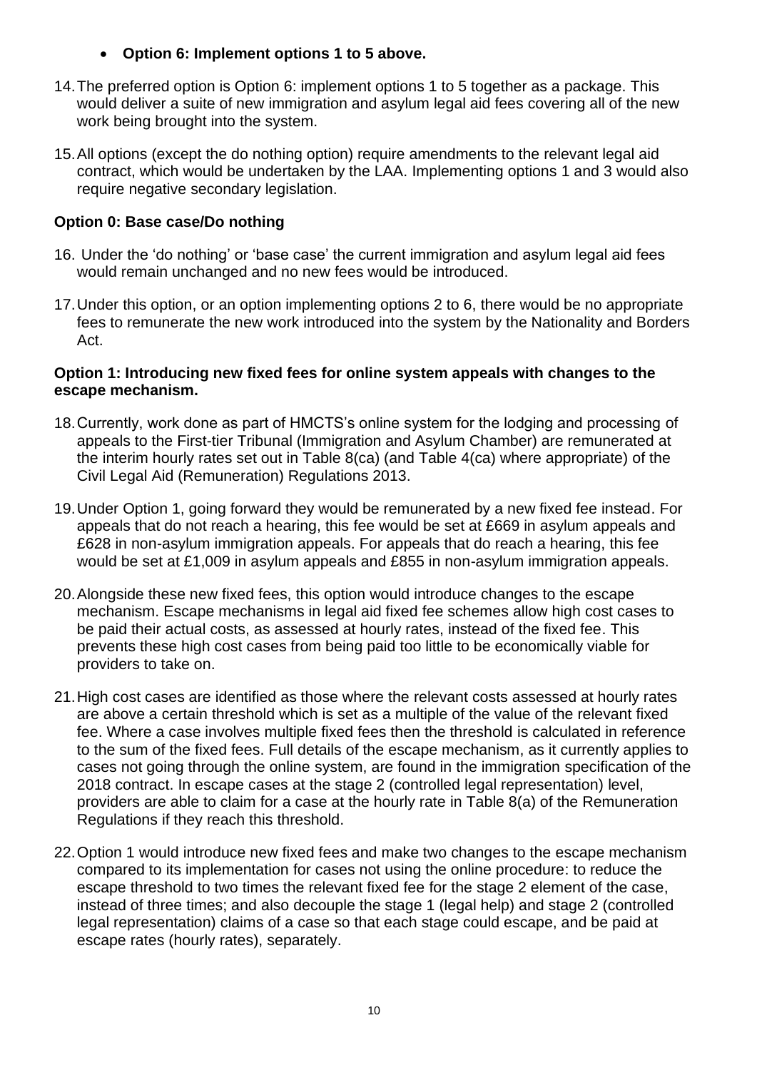## • **Option 6: Implement options 1 to 5 above.**

- 14.The preferred option is Option 6: implement options 1 to 5 together as a package. This would deliver a suite of new immigration and asylum legal aid fees covering all of the new work being brought into the system.
- 15.All options (except the do nothing option) require amendments to the relevant legal aid contract, which would be undertaken by the LAA. Implementing options 1 and 3 would also require negative secondary legislation.

## **Option 0: Base case/Do nothing**

- 16. Under the 'do nothing' or 'base case' the current immigration and asylum legal aid fees would remain unchanged and no new fees would be introduced.
- 17.Under this option, or an option implementing options 2 to 6, there would be no appropriate fees to remunerate the new work introduced into the system by the Nationality and Borders Act.

## **Option 1: Introducing new fixed fees for online system appeals with changes to the escape mechanism.**

- 18.Currently, work done as part of HMCTS's online system for the lodging and processing of appeals to the First-tier Tribunal (Immigration and Asylum Chamber) are remunerated at the interim hourly rates set out in Table 8(ca) (and Table 4(ca) where appropriate) of the Civil Legal Aid (Remuneration) Regulations 2013.
- 19.Under Option 1, going forward they would be remunerated by a new fixed fee instead. For appeals that do not reach a hearing, this fee would be set at £669 in asylum appeals and £628 in non-asylum immigration appeals. For appeals that do reach a hearing, this fee would be set at £1,009 in asylum appeals and £855 in non-asylum immigration appeals.
- 20.Alongside these new fixed fees, this option would introduce changes to the escape mechanism. Escape mechanisms in legal aid fixed fee schemes allow high cost cases to be paid their actual costs, as assessed at hourly rates, instead of the fixed fee. This prevents these high cost cases from being paid too little to be economically viable for providers to take on.
- 21.High cost cases are identified as those where the relevant costs assessed at hourly rates are above a certain threshold which is set as a multiple of the value of the relevant fixed fee. Where a case involves multiple fixed fees then the threshold is calculated in reference to the sum of the fixed fees. Full details of the escape mechanism, as it currently applies to cases not going through the online system, are found in the immigration specification of the 2018 contract. In escape cases at the stage 2 (controlled legal representation) level, providers are able to claim for a case at the hourly rate in Table 8(a) of the Remuneration Regulations if they reach this threshold.
- 22.Option 1 would introduce new fixed fees and make two changes to the escape mechanism compared to its implementation for cases not using the online procedure: to reduce the escape threshold to two times the relevant fixed fee for the stage 2 element of the case, instead of three times; and also decouple the stage 1 (legal help) and stage 2 (controlled legal representation) claims of a case so that each stage could escape, and be paid at escape rates (hourly rates), separately.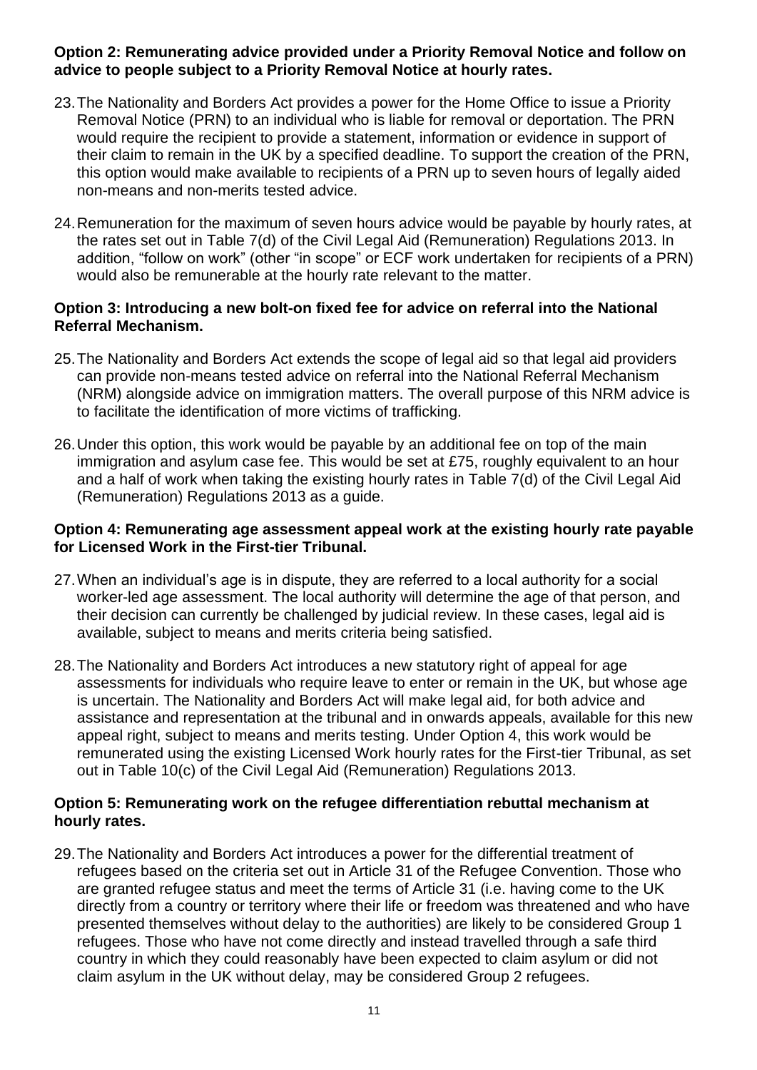## **Option 2: Remunerating advice provided under a Priority Removal Notice and follow on advice to people subject to a Priority Removal Notice at hourly rates.**

- 23.The Nationality and Borders Act provides a power for the Home Office to issue a Priority Removal Notice (PRN) to an individual who is liable for removal or deportation. The PRN would require the recipient to provide a statement, information or evidence in support of their claim to remain in the UK by a specified deadline. To support the creation of the PRN, this option would make available to recipients of a PRN up to seven hours of legally aided non-means and non-merits tested advice.
- 24.Remuneration for the maximum of seven hours advice would be payable by hourly rates, at the rates set out in Table 7(d) of the Civil Legal Aid (Remuneration) Regulations 2013. In addition, "follow on work" (other "in scope" or ECF work undertaken for recipients of a PRN) would also be remunerable at the hourly rate relevant to the matter.

#### **Option 3: Introducing a new bolt-on fixed fee for advice on referral into the National Referral Mechanism.**

- 25.The Nationality and Borders Act extends the scope of legal aid so that legal aid providers can provide non-means tested advice on referral into the National Referral Mechanism (NRM) alongside advice on immigration matters. The overall purpose of this NRM advice is to facilitate the identification of more victims of trafficking.
- 26.Under this option, this work would be payable by an additional fee on top of the main immigration and asylum case fee. This would be set at £75, roughly equivalent to an hour and a half of work when taking the existing hourly rates in Table 7(d) of the Civil Legal Aid (Remuneration) Regulations 2013 as a guide.

## **Option 4: Remunerating age assessment appeal work at the existing hourly rate payable for Licensed Work in the First-tier Tribunal.**

- 27.When an individual's age is in dispute, they are referred to a local authority for a social worker-led age assessment. The local authority will determine the age of that person, and their decision can currently be challenged by judicial review. In these cases, legal aid is available, subject to means and merits criteria being satisfied.
- 28.The Nationality and Borders Act introduces a new statutory right of appeal for age assessments for individuals who require leave to enter or remain in the UK, but whose age is uncertain. The Nationality and Borders Act will make legal aid, for both advice and assistance and representation at the tribunal and in onwards appeals, available for this new appeal right, subject to means and merits testing. Under Option 4, this work would be remunerated using the existing Licensed Work hourly rates for the First-tier Tribunal, as set out in Table 10(c) of the Civil Legal Aid (Remuneration) Regulations 2013.

#### **Option 5: Remunerating work on the refugee differentiation rebuttal mechanism at hourly rates.**

29.The Nationality and Borders Act introduces a power for the differential treatment of refugees based on the criteria set out in Article 31 of the Refugee Convention. Those who are granted refugee status and meet the terms of Article 31 (i.e. having come to the UK directly from a country or territory where their life or freedom was threatened and who have presented themselves without delay to the authorities) are likely to be considered Group 1 refugees. Those who have not come directly and instead travelled through a safe third country in which they could reasonably have been expected to claim asylum or did not claim asylum in the UK without delay, may be considered Group 2 refugees.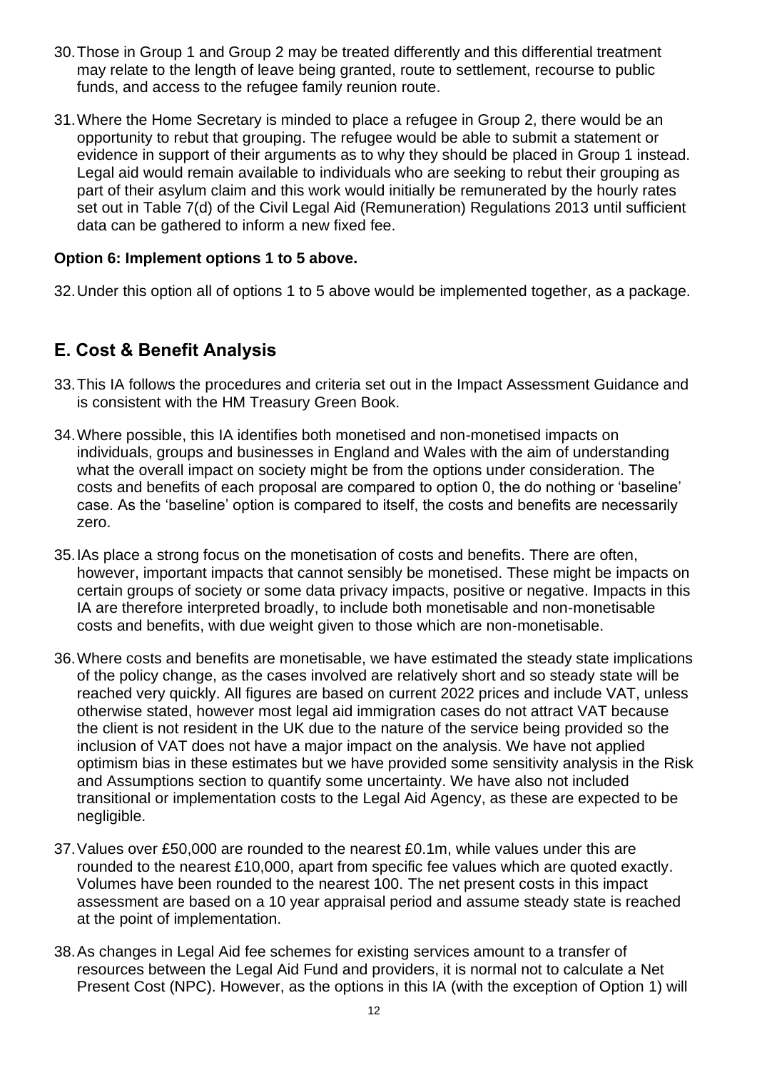- 30.Those in Group 1 and Group 2 may be treated differently and this differential treatment may relate to the length of leave being granted, route to settlement, recourse to public funds, and access to the refugee family reunion route.
- 31.Where the Home Secretary is minded to place a refugee in Group 2, there would be an opportunity to rebut that grouping. The refugee would be able to submit a statement or evidence in support of their arguments as to why they should be placed in Group 1 instead. Legal aid would remain available to individuals who are seeking to rebut their grouping as part of their asylum claim and this work would initially be remunerated by the hourly rates set out in Table 7(d) of the Civil Legal Aid (Remuneration) Regulations 2013 until sufficient data can be gathered to inform a new fixed fee.

## **Option 6: Implement options 1 to 5 above.**

32.Under this option all of options 1 to 5 above would be implemented together, as a package.

## **E. Cost & Benefit Analysis**

- 33.This IA follows the procedures and criteria set out in the Impact Assessment Guidance and is consistent with the HM Treasury Green Book.
- 34.Where possible, this IA identifies both monetised and non-monetised impacts on individuals, groups and businesses in England and Wales with the aim of understanding what the overall impact on society might be from the options under consideration. The costs and benefits of each proposal are compared to option 0, the do nothing or 'baseline' case. As the 'baseline' option is compared to itself, the costs and benefits are necessarily zero.
- 35.IAs place a strong focus on the monetisation of costs and benefits. There are often, however, important impacts that cannot sensibly be monetised. These might be impacts on certain groups of society or some data privacy impacts, positive or negative. Impacts in this IA are therefore interpreted broadly, to include both monetisable and non-monetisable costs and benefits, with due weight given to those which are non-monetisable.
- 36.Where costs and benefits are monetisable, we have estimated the steady state implications of the policy change, as the cases involved are relatively short and so steady state will be reached very quickly. All figures are based on current 2022 prices and include VAT, unless otherwise stated, however most legal aid immigration cases do not attract VAT because the client is not resident in the UK due to the nature of the service being provided so the inclusion of VAT does not have a major impact on the analysis. We have not applied optimism bias in these estimates but we have provided some sensitivity analysis in the Risk and Assumptions section to quantify some uncertainty. We have also not included transitional or implementation costs to the Legal Aid Agency, as these are expected to be negligible.
- 37.Values over £50,000 are rounded to the nearest £0.1m, while values under this are rounded to the nearest £10,000, apart from specific fee values which are quoted exactly. Volumes have been rounded to the nearest 100. The net present costs in this impact assessment are based on a 10 year appraisal period and assume steady state is reached at the point of implementation.
- 38.As changes in Legal Aid fee schemes for existing services amount to a transfer of resources between the Legal Aid Fund and providers, it is normal not to calculate a Net Present Cost (NPC). However, as the options in this IA (with the exception of Option 1) will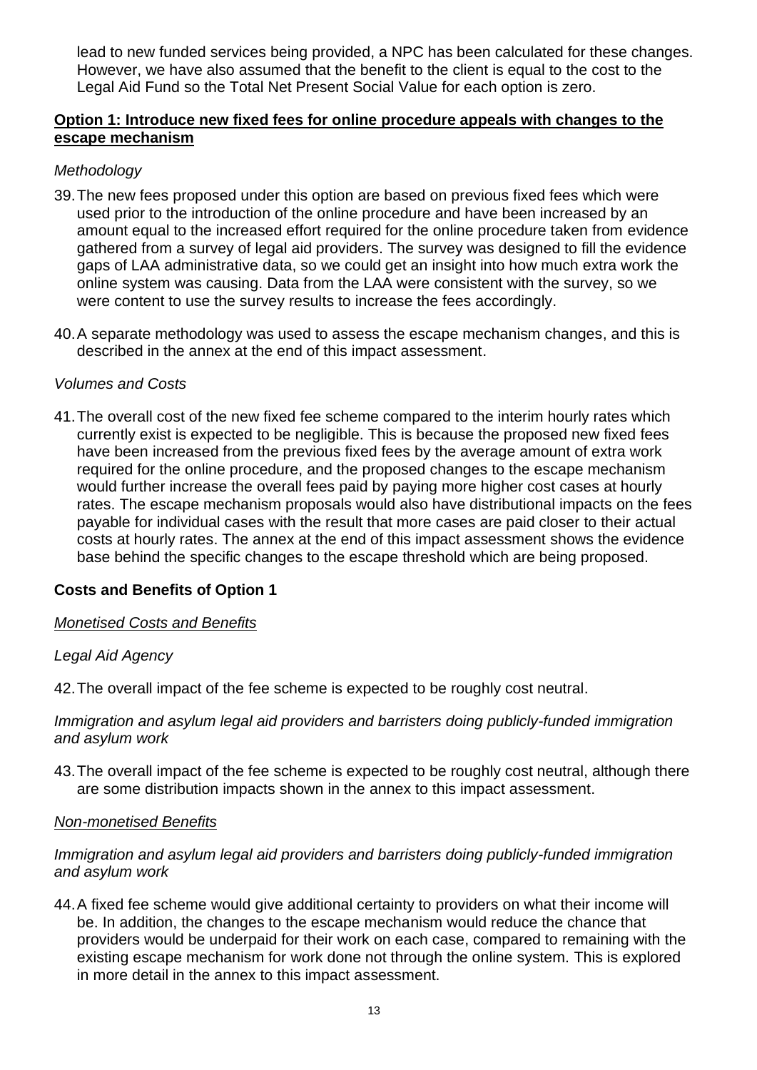lead to new funded services being provided, a NPC has been calculated for these changes. However, we have also assumed that the benefit to the client is equal to the cost to the Legal Aid Fund so the Total Net Present Social Value for each option is zero.

#### **Option 1: Introduce new fixed fees for online procedure appeals with changes to the escape mechanism**

## *Methodology*

- 39.The new fees proposed under this option are based on previous fixed fees which were used prior to the introduction of the online procedure and have been increased by an amount equal to the increased effort required for the online procedure taken from evidence gathered from a survey of legal aid providers. The survey was designed to fill the evidence gaps of LAA administrative data, so we could get an insight into how much extra work the online system was causing. Data from the LAA were consistent with the survey, so we were content to use the survey results to increase the fees accordingly.
- 40.A separate methodology was used to assess the escape mechanism changes, and this is described in the annex at the end of this impact assessment.

#### *Volumes and Costs*

41.The overall cost of the new fixed fee scheme compared to the interim hourly rates which currently exist is expected to be negligible. This is because the proposed new fixed fees have been increased from the previous fixed fees by the average amount of extra work required for the online procedure, and the proposed changes to the escape mechanism would further increase the overall fees paid by paying more higher cost cases at hourly rates. The escape mechanism proposals would also have distributional impacts on the fees payable for individual cases with the result that more cases are paid closer to their actual costs at hourly rates. The annex at the end of this impact assessment shows the evidence base behind the specific changes to the escape threshold which are being proposed.

#### **Costs and Benefits of Option 1**

#### *Monetised Costs and Benefits*

## *Legal Aid Agency*

42.The overall impact of the fee scheme is expected to be roughly cost neutral.

#### *Immigration and asylum legal aid providers and barristers doing publicly-funded immigration and asylum work*

43.The overall impact of the fee scheme is expected to be roughly cost neutral, although there are some distribution impacts shown in the annex to this impact assessment.

#### *Non-monetised Benefits*

## *Immigration and asylum legal aid providers and barristers doing publicly-funded immigration and asylum work*

44.A fixed fee scheme would give additional certainty to providers on what their income will be. In addition, the changes to the escape mechanism would reduce the chance that providers would be underpaid for their work on each case, compared to remaining with the existing escape mechanism for work done not through the online system. This is explored in more detail in the annex to this impact assessment.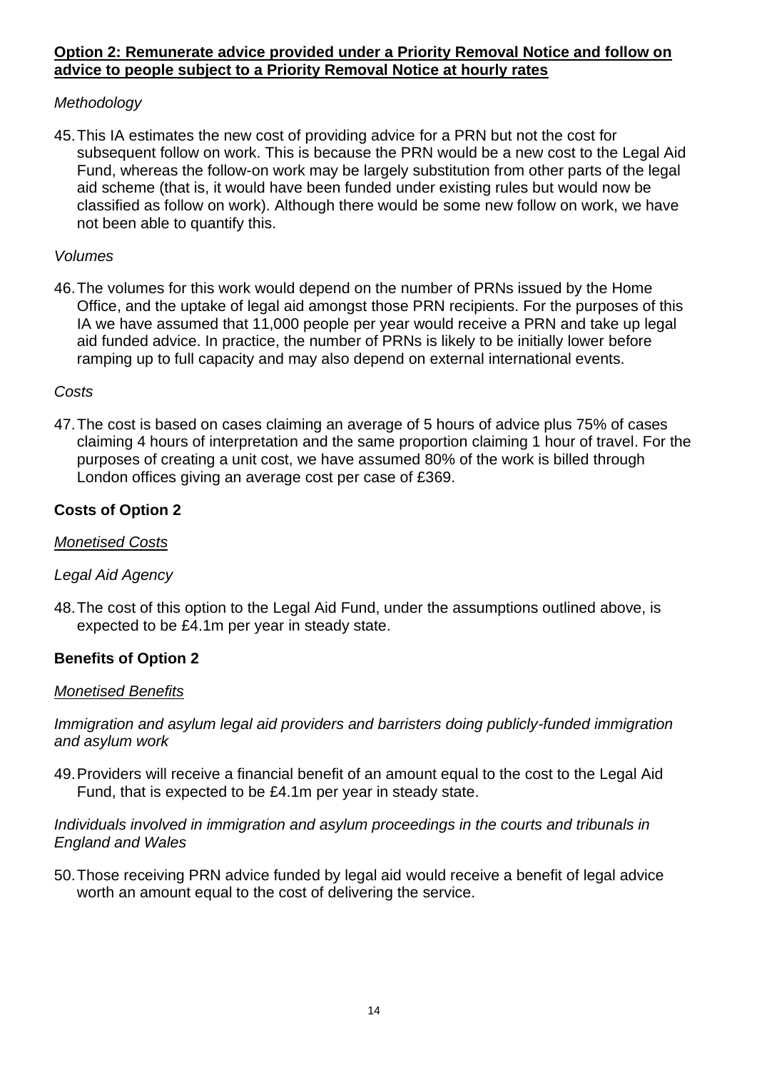## **Option 2: Remunerate advice provided under a Priority Removal Notice and follow on advice to people subject to a Priority Removal Notice at hourly rates**

## *Methodology*

45.This IA estimates the new cost of providing advice for a PRN but not the cost for subsequent follow on work. This is because the PRN would be a new cost to the Legal Aid Fund, whereas the follow-on work may be largely substitution from other parts of the legal aid scheme (that is, it would have been funded under existing rules but would now be classified as follow on work). Although there would be some new follow on work, we have not been able to quantify this.

## *Volumes*

46.The volumes for this work would depend on the number of PRNs issued by the Home Office, and the uptake of legal aid amongst those PRN recipients. For the purposes of this IA we have assumed that 11,000 people per year would receive a PRN and take up legal aid funded advice. In practice, the number of PRNs is likely to be initially lower before ramping up to full capacity and may also depend on external international events.

## *Costs*

47.The cost is based on cases claiming an average of 5 hours of advice plus 75% of cases claiming 4 hours of interpretation and the same proportion claiming 1 hour of travel. For the purposes of creating a unit cost, we have assumed 80% of the work is billed through London offices giving an average cost per case of £369.

## **Costs of Option 2**

## *Monetised Costs*

## *Legal Aid Agency*

48.The cost of this option to the Legal Aid Fund, under the assumptions outlined above, is expected to be £4.1m per year in steady state.

## **Benefits of Option 2**

## *Monetised Benefits*

*Immigration and asylum legal aid providers and barristers doing publicly-funded immigration and asylum work*

49.Providers will receive a financial benefit of an amount equal to the cost to the Legal Aid Fund, that is expected to be £4.1m per year in steady state.

#### *Individuals involved in immigration and asylum proceedings in the courts and tribunals in England and Wales*

50.Those receiving PRN advice funded by legal aid would receive a benefit of legal advice worth an amount equal to the cost of delivering the service.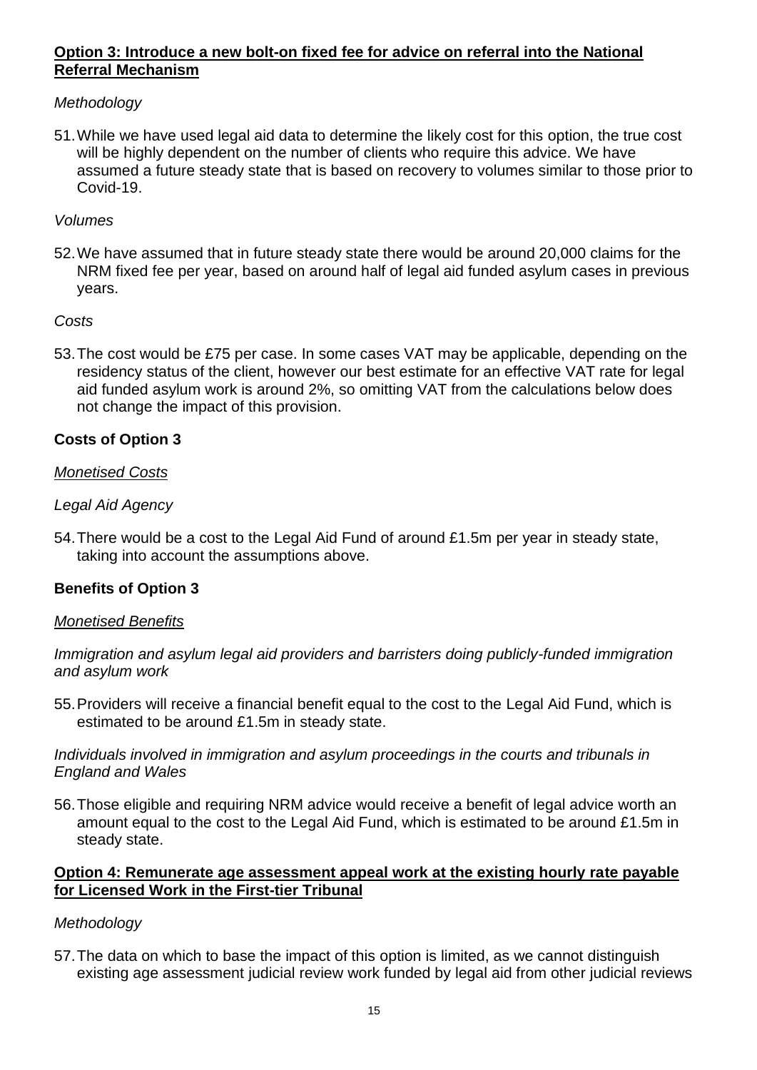## **Option 3: Introduce a new bolt-on fixed fee for advice on referral into the National Referral Mechanism**

## *Methodology*

51.While we have used legal aid data to determine the likely cost for this option, the true cost will be highly dependent on the number of clients who require this advice. We have assumed a future steady state that is based on recovery to volumes similar to those prior to Covid-19.

## *Volumes*

52.We have assumed that in future steady state there would be around 20,000 claims for the NRM fixed fee per year, based on around half of legal aid funded asylum cases in previous years.

## *Costs*

53.The cost would be £75 per case. In some cases VAT may be applicable, depending on the residency status of the client, however our best estimate for an effective VAT rate for legal aid funded asylum work is around 2%, so omitting VAT from the calculations below does not change the impact of this provision.

## **Costs of Option 3**

## *Monetised Costs*

## *Legal Aid Agency*

54.There would be a cost to the Legal Aid Fund of around £1.5m per year in steady state, taking into account the assumptions above.

## **Benefits of Option 3**

#### *Monetised Benefits*

*Immigration and asylum legal aid providers and barristers doing publicly-funded immigration and asylum work*

55.Providers will receive a financial benefit equal to the cost to the Legal Aid Fund, which is estimated to be around £1.5m in steady state.

*Individuals involved in immigration and asylum proceedings in the courts and tribunals in England and Wales*

56.Those eligible and requiring NRM advice would receive a benefit of legal advice worth an amount equal to the cost to the Legal Aid Fund, which is estimated to be around £1.5m in steady state.

## **Option 4: Remunerate age assessment appeal work at the existing hourly rate payable for Licensed Work in the First-tier Tribunal**

## *Methodology*

57.The data on which to base the impact of this option is limited, as we cannot distinguish existing age assessment judicial review work funded by legal aid from other judicial reviews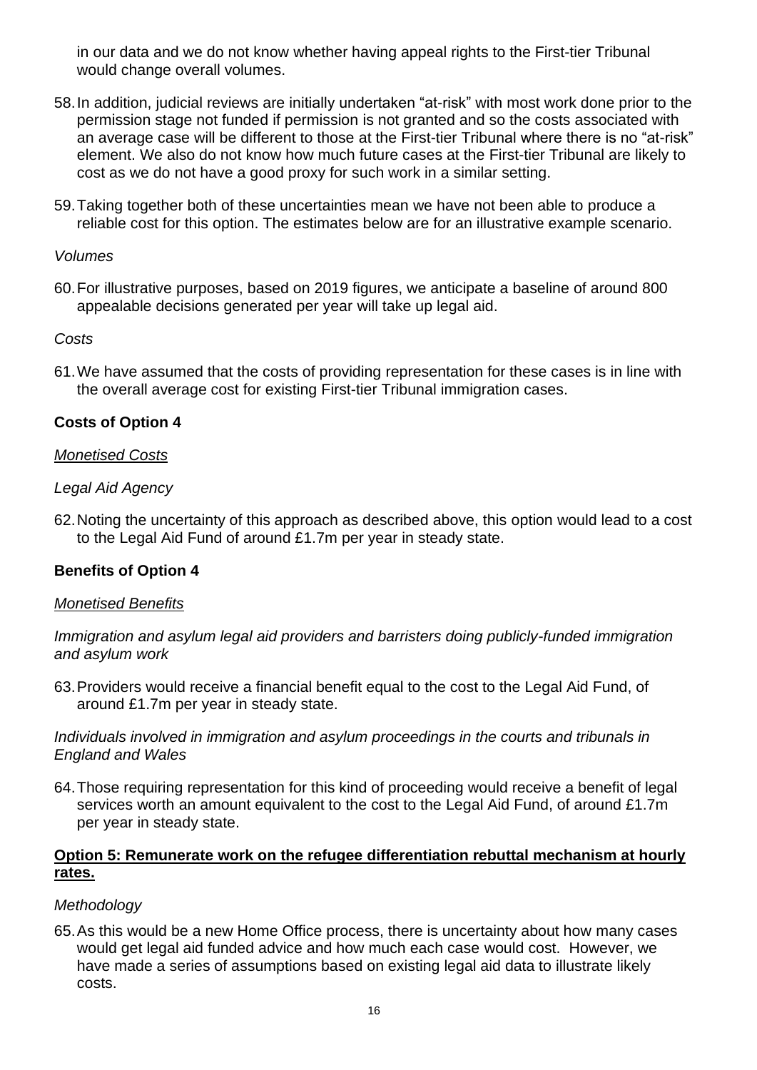in our data and we do not know whether having appeal rights to the First-tier Tribunal would change overall volumes.

- 58.In addition, judicial reviews are initially undertaken "at-risk" with most work done prior to the permission stage not funded if permission is not granted and so the costs associated with an average case will be different to those at the First-tier Tribunal where there is no "at-risk" element. We also do not know how much future cases at the First-tier Tribunal are likely to cost as we do not have a good proxy for such work in a similar setting.
- 59.Taking together both of these uncertainties mean we have not been able to produce a reliable cost for this option. The estimates below are for an illustrative example scenario.

#### *Volumes*

60.For illustrative purposes, based on 2019 figures, we anticipate a baseline of around 800 appealable decisions generated per year will take up legal aid.

#### *Costs*

61.We have assumed that the costs of providing representation for these cases is in line with the overall average cost for existing First-tier Tribunal immigration cases.

## **Costs of Option 4**

#### *Monetised Costs*

#### *Legal Aid Agency*

62.Noting the uncertainty of this approach as described above, this option would lead to a cost to the Legal Aid Fund of around £1.7m per year in steady state.

## **Benefits of Option 4**

#### *Monetised Benefits*

*Immigration and asylum legal aid providers and barristers doing publicly-funded immigration and asylum work*

63.Providers would receive a financial benefit equal to the cost to the Legal Aid Fund, of around £1.7m per year in steady state.

*Individuals involved in immigration and asylum proceedings in the courts and tribunals in England and Wales*

64.Those requiring representation for this kind of proceeding would receive a benefit of legal services worth an amount equivalent to the cost to the Legal Aid Fund, of around £1.7m per year in steady state.

## **Option 5: Remunerate work on the refugee differentiation rebuttal mechanism at hourly rates.**

#### *Methodology*

65.As this would be a new Home Office process, there is uncertainty about how many cases would get legal aid funded advice and how much each case would cost. However, we have made a series of assumptions based on existing legal aid data to illustrate likely costs.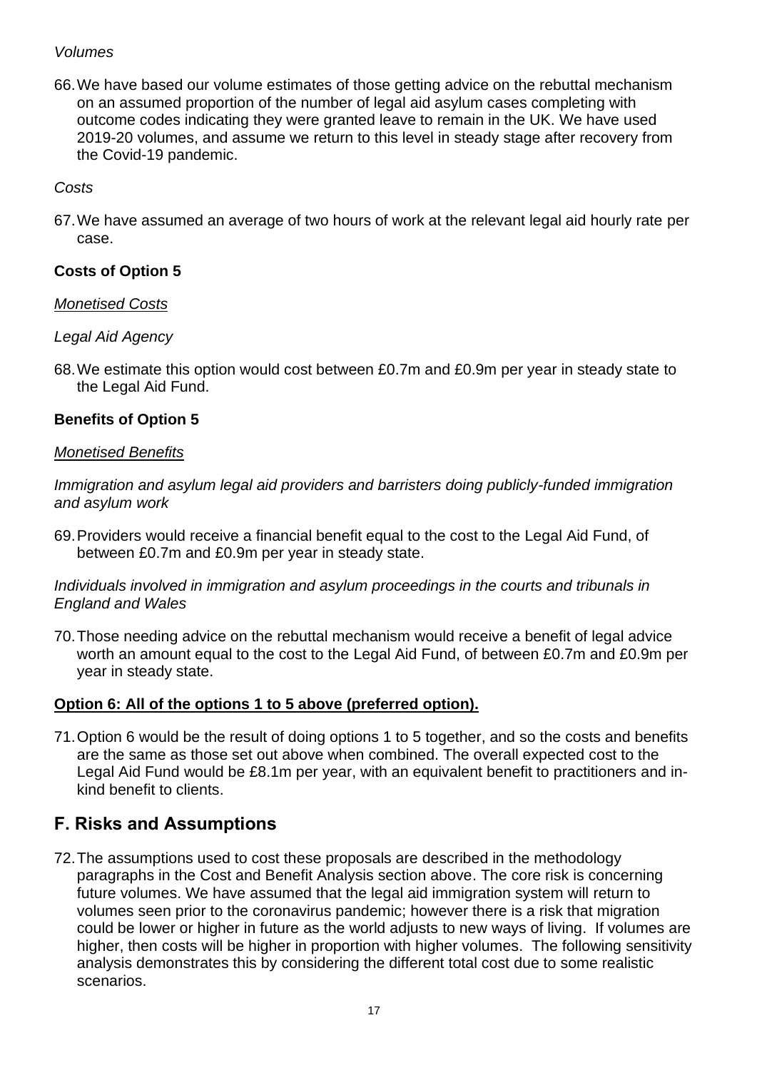#### *Volumes*

66.We have based our volume estimates of those getting advice on the rebuttal mechanism on an assumed proportion of the number of legal aid asylum cases completing with outcome codes indicating they were granted leave to remain in the UK. We have used 2019-20 volumes, and assume we return to this level in steady stage after recovery from the Covid-19 pandemic.

## *Costs*

67.We have assumed an average of two hours of work at the relevant legal aid hourly rate per case.

## **Costs of Option 5**

#### *Monetised Costs*

## *Legal Aid Agency*

68.We estimate this option would cost between £0.7m and £0.9m per year in steady state to the Legal Aid Fund.

## **Benefits of Option 5**

#### *Monetised Benefits*

*Immigration and asylum legal aid providers and barristers doing publicly-funded immigration and asylum work*

69.Providers would receive a financial benefit equal to the cost to the Legal Aid Fund, of between £0.7m and £0.9m per year in steady state.

*Individuals involved in immigration and asylum proceedings in the courts and tribunals in England and Wales*

70.Those needing advice on the rebuttal mechanism would receive a benefit of legal advice worth an amount equal to the cost to the Legal Aid Fund, of between £0.7m and £0.9m per year in steady state.

## **Option 6: All of the options 1 to 5 above (preferred option).**

71.Option 6 would be the result of doing options 1 to 5 together, and so the costs and benefits are the same as those set out above when combined. The overall expected cost to the Legal Aid Fund would be £8.1m per year, with an equivalent benefit to practitioners and inkind benefit to clients.

## **F. Risks and Assumptions**

72.The assumptions used to cost these proposals are described in the methodology paragraphs in the Cost and Benefit Analysis section above. The core risk is concerning future volumes. We have assumed that the legal aid immigration system will return to volumes seen prior to the coronavirus pandemic; however there is a risk that migration could be lower or higher in future as the world adjusts to new ways of living. If volumes are higher, then costs will be higher in proportion with higher volumes. The following sensitivity analysis demonstrates this by considering the different total cost due to some realistic scenarios.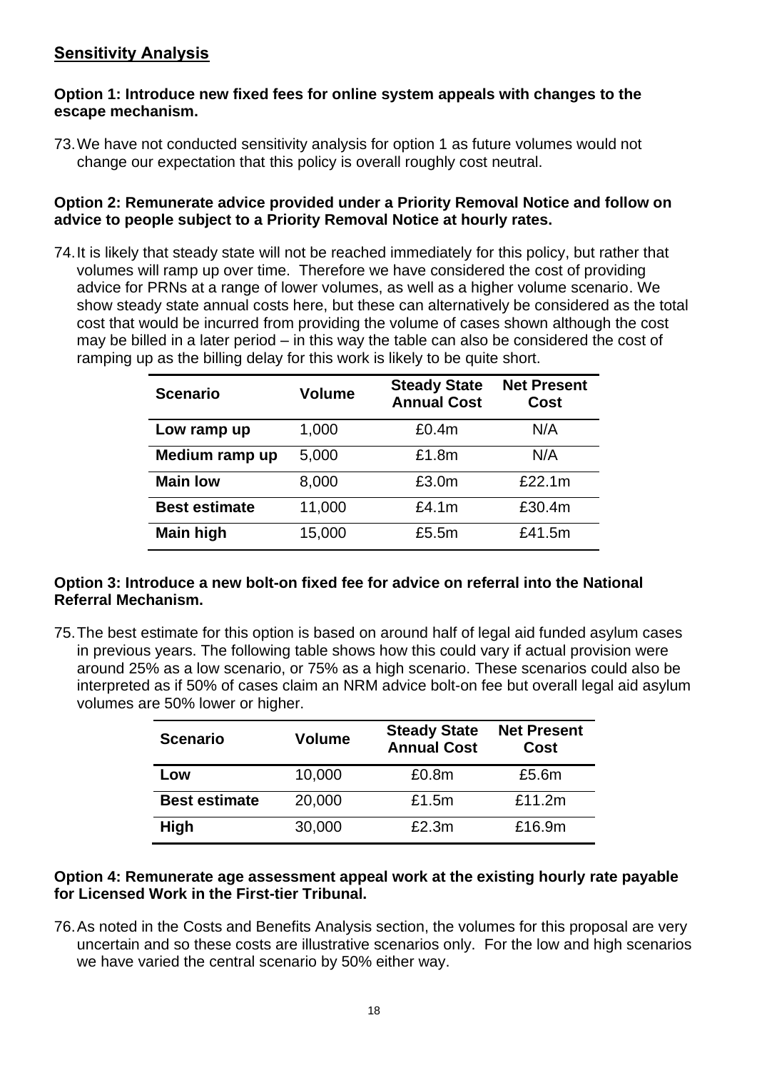## **Sensitivity Analysis**

#### **Option 1: Introduce new fixed fees for online system appeals with changes to the escape mechanism.**

73.We have not conducted sensitivity analysis for option 1 as future volumes would not change our expectation that this policy is overall roughly cost neutral.

#### **Option 2: Remunerate advice provided under a Priority Removal Notice and follow on advice to people subject to a Priority Removal Notice at hourly rates.**

74.It is likely that steady state will not be reached immediately for this policy, but rather that volumes will ramp up over time. Therefore we have considered the cost of providing advice for PRNs at a range of lower volumes, as well as a higher volume scenario. We show steady state annual costs here, but these can alternatively be considered as the total cost that would be incurred from providing the volume of cases shown although the cost may be billed in a later period – in this way the table can also be considered the cost of ramping up as the billing delay for this work is likely to be quite short.

| <b>Scenario</b>      | Volume | <b>Steady State</b><br><b>Annual Cost</b> | <b>Net Present</b><br>Cost |  |
|----------------------|--------|-------------------------------------------|----------------------------|--|
| Low ramp up          | 1,000  | £0.4m                                     | N/A                        |  |
| Medium ramp up       | 5,000  | £1.8m                                     | N/A                        |  |
| <b>Main low</b>      | 8,000  | £3.0m                                     | £22.1m                     |  |
| <b>Best estimate</b> | 11,000 | £4.1m                                     | £30.4m                     |  |
| <b>Main high</b>     | 15,000 | £5.5m                                     | £41.5m                     |  |

#### **Option 3: Introduce a new bolt-on fixed fee for advice on referral into the National Referral Mechanism.**

75.The best estimate for this option is based on around half of legal aid funded asylum cases in previous years. The following table shows how this could vary if actual provision were around 25% as a low scenario, or 75% as a high scenario. These scenarios could also be interpreted as if 50% of cases claim an NRM advice bolt-on fee but overall legal aid asylum volumes are 50% lower or higher.

| <b>Scenario</b>      | Volume | <b>Steady State</b><br><b>Annual Cost</b> | <b>Net Present</b><br><b>Cost</b> |  |
|----------------------|--------|-------------------------------------------|-----------------------------------|--|
| Low                  | 10,000 | £0.8m                                     | £5.6m                             |  |
| <b>Best estimate</b> | 20,000 | £1.5m                                     | £11.2m                            |  |
| <b>High</b>          | 30,000 | £2.3m                                     | £16.9m                            |  |

## **Option 4: Remunerate age assessment appeal work at the existing hourly rate payable for Licensed Work in the First-tier Tribunal.**

76.As noted in the Costs and Benefits Analysis section, the volumes for this proposal are very uncertain and so these costs are illustrative scenarios only. For the low and high scenarios we have varied the central scenario by 50% either way.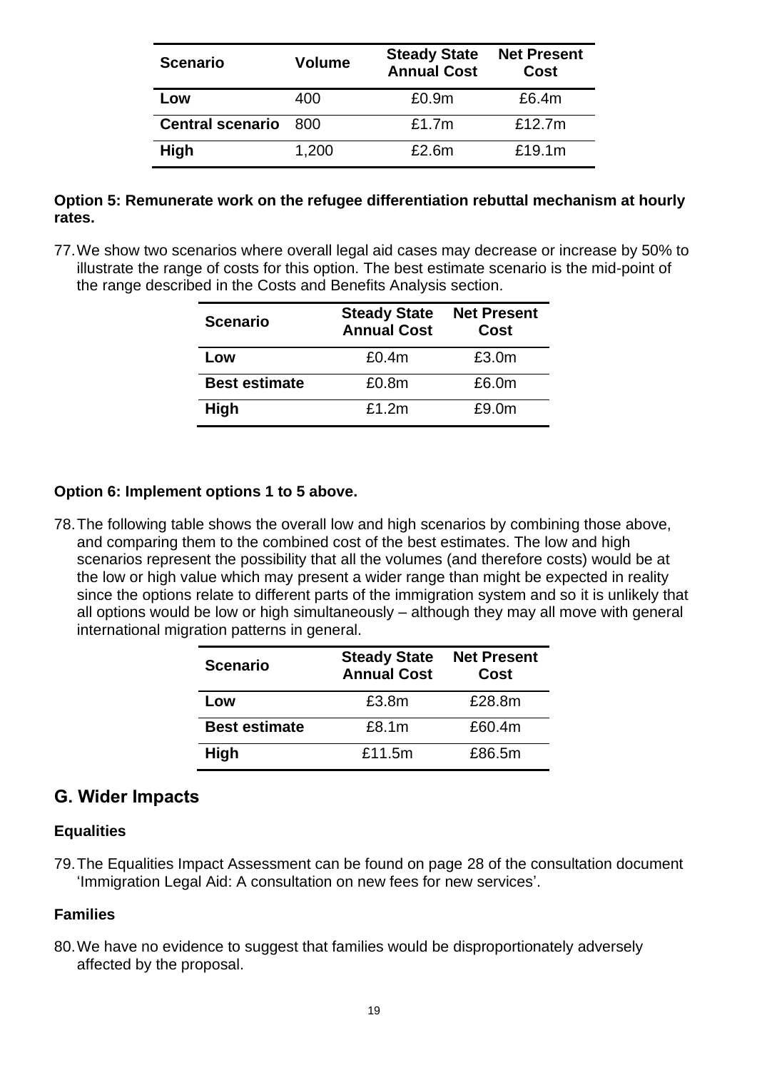| <b>Scenario</b>         | Volume | <b>Steady State</b><br><b>Annual Cost</b> | <b>Net Present</b><br>Cost |  |
|-------------------------|--------|-------------------------------------------|----------------------------|--|
| Low                     | 400    | £0.9m                                     | £6.4m                      |  |
| <b>Central scenario</b> | - 800  | £1.7m                                     | £12.7m                     |  |
| <b>High</b>             | 1,200  | £2.6m                                     | £19.1m                     |  |

#### **Option 5: Remunerate work on the refugee differentiation rebuttal mechanism at hourly rates.**

77.We show two scenarios where overall legal aid cases may decrease or increase by 50% to illustrate the range of costs for this option. The best estimate scenario is the mid-point of the range described in the Costs and Benefits Analysis section.

| <b>Scenario</b>      | <b>Steady State</b><br><b>Annual Cost</b> | <b>Net Present</b><br>Cost |  |
|----------------------|-------------------------------------------|----------------------------|--|
| Low                  | £0.4m                                     | £3.0m                      |  |
| <b>Best estimate</b> | £0.8m                                     | £6.0m                      |  |
| <b>High</b>          | £1.2m                                     | £9.0m                      |  |

## **Option 6: Implement options 1 to 5 above.**

78.The following table shows the overall low and high scenarios by combining those above, and comparing them to the combined cost of the best estimates. The low and high scenarios represent the possibility that all the volumes (and therefore costs) would be at the low or high value which may present a wider range than might be expected in reality since the options relate to different parts of the immigration system and so it is unlikely that all options would be low or high simultaneously – although they may all move with general international migration patterns in general.

| <b>Scenario</b>      | <b>Steady State</b><br><b>Annual Cost</b> | <b>Net Present</b><br>Cost |  |
|----------------------|-------------------------------------------|----------------------------|--|
| Low                  | £3.8m                                     | £28.8m                     |  |
| <b>Best estimate</b> | £8.1m                                     | £60.4m                     |  |
| <b>High</b>          | £11.5m                                    | £86.5m                     |  |

## **G. Wider Impacts**

#### **Equalities**

79.The Equalities Impact Assessment can be found on page 28 of the consultation document 'Immigration Legal Aid: A consultation on new fees for new services'.

#### **Families**

80.We have no evidence to suggest that families would be disproportionately adversely affected by the proposal.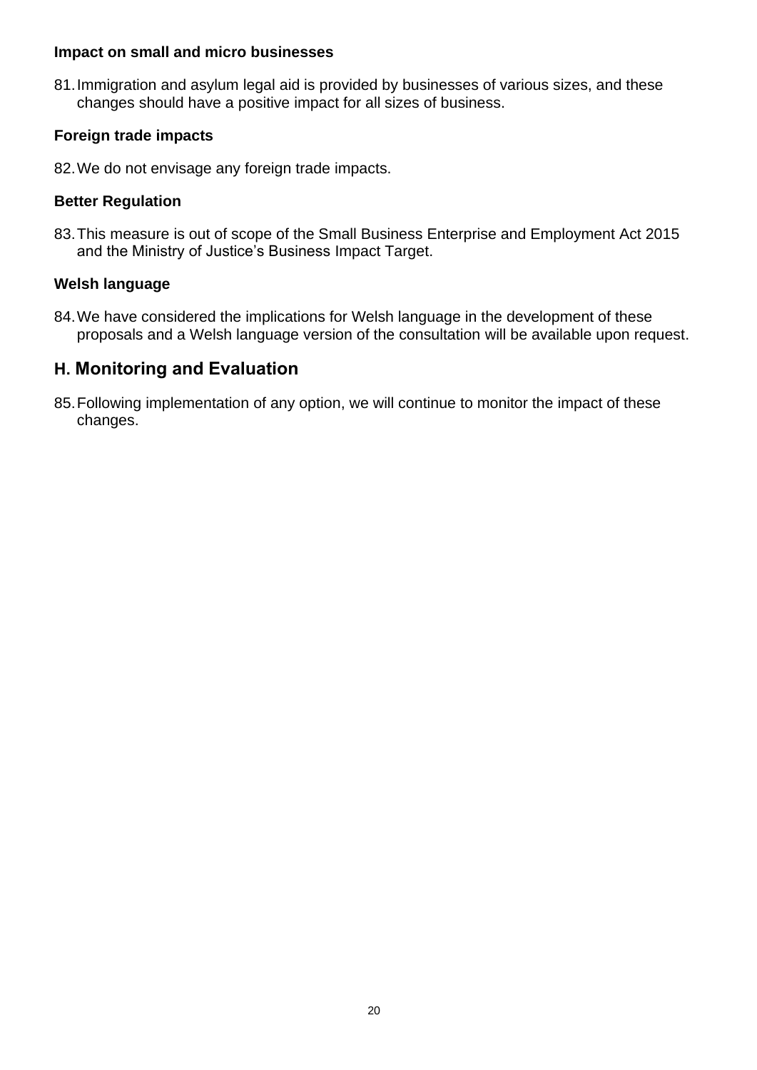#### **Impact on small and micro businesses**

81.Immigration and asylum legal aid is provided by businesses of various sizes, and these changes should have a positive impact for all sizes of business.

## **Foreign trade impacts**

82.We do not envisage any foreign trade impacts.

#### **Better Regulation**

83.This measure is out of scope of the Small Business Enterprise and Employment Act 2015 and the Ministry of Justice's Business Impact Target.

## **Welsh language**

84.We have considered the implications for Welsh language in the development of these proposals and a Welsh language version of the consultation will be available upon request.

## **H. Monitoring and Evaluation**

85.Following implementation of any option, we will continue to monitor the impact of these changes.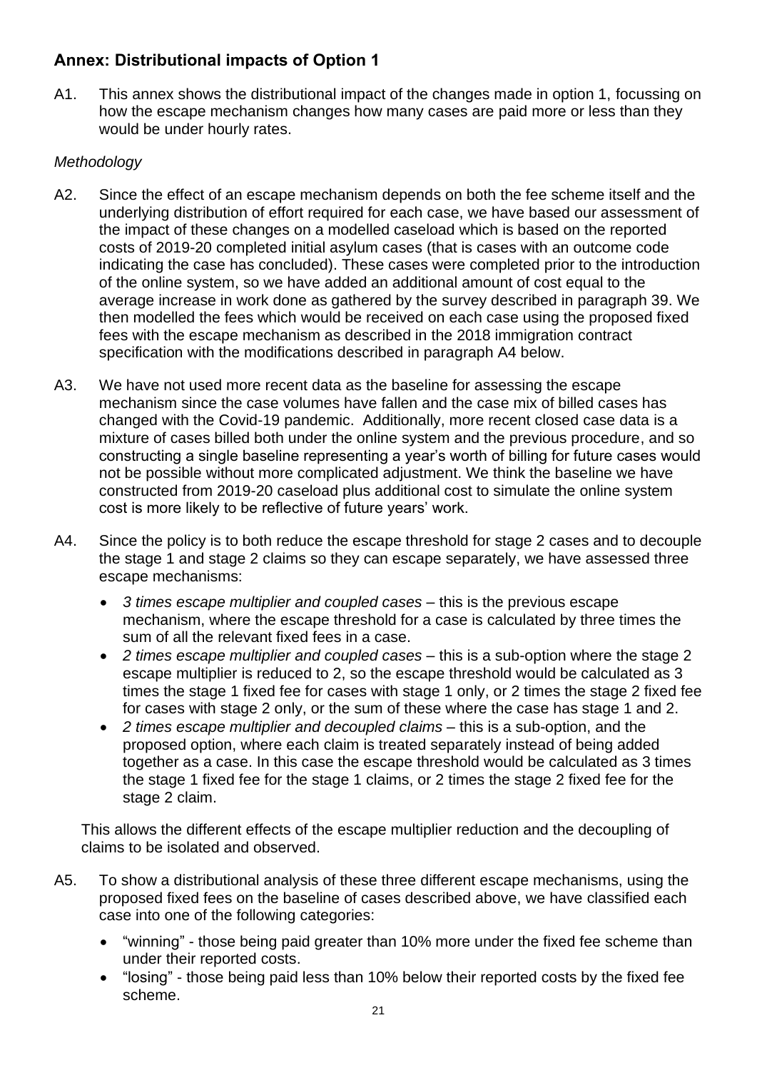## **Annex: Distributional impacts of Option 1**

A1. This annex shows the distributional impact of the changes made in option 1, focussing on how the escape mechanism changes how many cases are paid more or less than they would be under hourly rates.

## *Methodology*

- A2. Since the effect of an escape mechanism depends on both the fee scheme itself and the underlying distribution of effort required for each case, we have based our assessment of the impact of these changes on a modelled caseload which is based on the reported costs of 2019-20 completed initial asylum cases (that is cases with an outcome code indicating the case has concluded). These cases were completed prior to the introduction of the online system, so we have added an additional amount of cost equal to the average increase in work done as gathered by the survey described in paragraph 39. We then modelled the fees which would be received on each case using the proposed fixed fees with the escape mechanism as described in the 2018 immigration contract specification with the modifications described in paragraph A4 below.
- A3. We have not used more recent data as the baseline for assessing the escape mechanism since the case volumes have fallen and the case mix of billed cases has changed with the Covid-19 pandemic. Additionally, more recent closed case data is a mixture of cases billed both under the online system and the previous procedure, and so constructing a single baseline representing a year's worth of billing for future cases would not be possible without more complicated adjustment. We think the baseline we have constructed from 2019-20 caseload plus additional cost to simulate the online system cost is more likely to be reflective of future years' work.
- A4. Since the policy is to both reduce the escape threshold for stage 2 cases and to decouple the stage 1 and stage 2 claims so they can escape separately, we have assessed three escape mechanisms:
	- *3 times escape multiplier and coupled cases* this is the previous escape mechanism, where the escape threshold for a case is calculated by three times the sum of all the relevant fixed fees in a case.
	- *2 times escape multiplier and coupled cases* this is a sub-option where the stage 2 escape multiplier is reduced to 2, so the escape threshold would be calculated as 3 times the stage 1 fixed fee for cases with stage 1 only, or 2 times the stage 2 fixed fee for cases with stage 2 only, or the sum of these where the case has stage 1 and 2.
	- *2 times escape multiplier and decoupled claims* this is a sub-option, and the proposed option, where each claim is treated separately instead of being added together as a case. In this case the escape threshold would be calculated as 3 times the stage 1 fixed fee for the stage 1 claims, or 2 times the stage 2 fixed fee for the stage 2 claim.

This allows the different effects of the escape multiplier reduction and the decoupling of claims to be isolated and observed.

- A5. To show a distributional analysis of these three different escape mechanisms, using the proposed fixed fees on the baseline of cases described above, we have classified each case into one of the following categories:
	- "winning" those being paid greater than 10% more under the fixed fee scheme than under their reported costs.
	- "losing" those being paid less than 10% below their reported costs by the fixed fee scheme.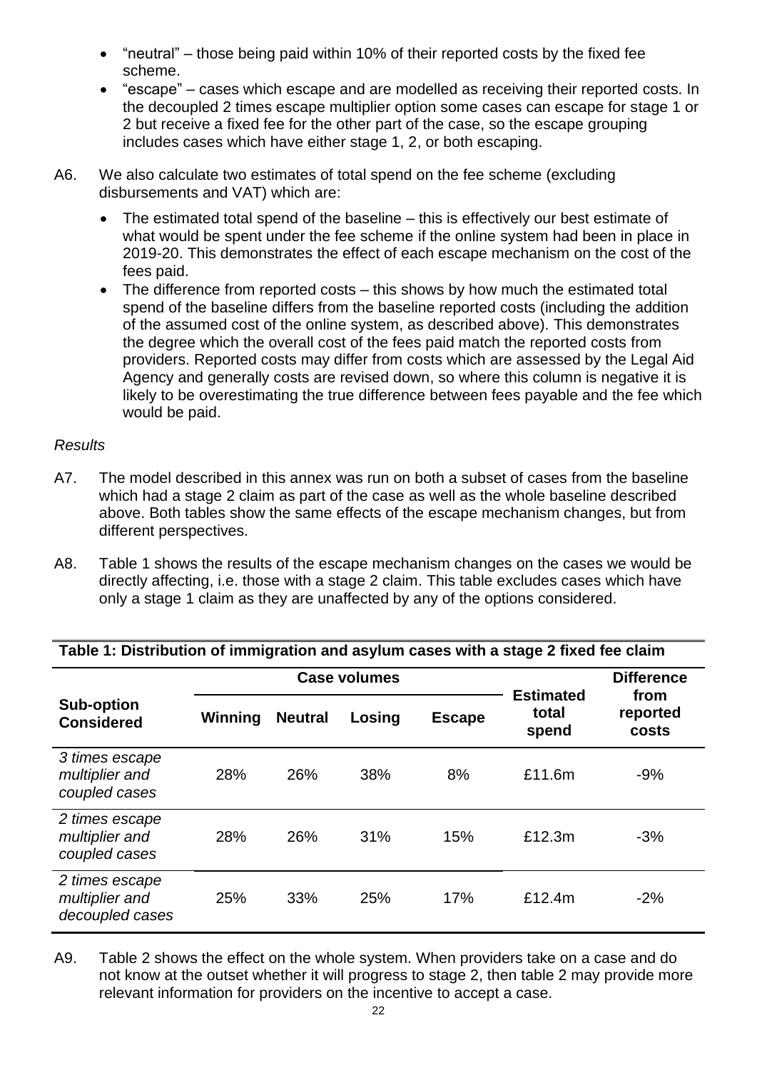- "neutral" those being paid within 10% of their reported costs by the fixed fee scheme.
- "escape" cases which escape and are modelled as receiving their reported costs. In the decoupled 2 times escape multiplier option some cases can escape for stage 1 or 2 but receive a fixed fee for the other part of the case, so the escape grouping includes cases which have either stage 1, 2, or both escaping.
- A6. We also calculate two estimates of total spend on the fee scheme (excluding disbursements and VAT) which are:
	- The estimated total spend of the baseline this is effectively our best estimate of what would be spent under the fee scheme if the online system had been in place in 2019-20. This demonstrates the effect of each escape mechanism on the cost of the fees paid.
	- The difference from reported costs this shows by how much the estimated total spend of the baseline differs from the baseline reported costs (including the addition of the assumed cost of the online system, as described above). This demonstrates the degree which the overall cost of the fees paid match the reported costs from providers. Reported costs may differ from costs which are assessed by the Legal Aid Agency and generally costs are revised down, so where this column is negative it is likely to be overestimating the true difference between fees payable and the fee which would be paid.

## *Results*

- A7. The model described in this annex was run on both a subset of cases from the baseline which had a stage 2 claim as part of the case as well as the whole baseline described above. Both tables show the same effects of the escape mechanism changes, but from different perspectives.
- A8. Table 1 shows the results of the escape mechanism changes on the cases we would be directly affecting, i.e. those with a stage 2 claim. This table excludes cases which have only a stage 1 claim as they are unaffected by any of the options considered.

|                                                     | <b>Case volumes</b> |                |        |               |                                    | <b>Difference</b>         |  |
|-----------------------------------------------------|---------------------|----------------|--------|---------------|------------------------------------|---------------------------|--|
| <b>Sub-option</b><br><b>Considered</b>              | Winning             | <b>Neutral</b> | Losing | <b>Escape</b> | <b>Estimated</b><br>total<br>spend | from<br>reported<br>costs |  |
| 3 times escape<br>multiplier and<br>coupled cases   | 28%                 | 26%            | 38%    | 8%            | £11.6m                             | $-9%$                     |  |
| 2 times escape<br>multiplier and<br>coupled cases   | 28%                 | 26%            | 31%    | 15%           | £12.3m                             | $-3%$                     |  |
| 2 times escape<br>multiplier and<br>decoupled cases | 25%                 | 33%            | 25%    | 17%           | £12.4m                             | $-2%$                     |  |

#### **Table 1: Distribution of immigration and asylum cases with a stage 2 fixed fee claim**

A9. Table 2 shows the effect on the whole system. When providers take on a case and do not know at the outset whether it will progress to stage 2, then table 2 may provide more relevant information for providers on the incentive to accept a case.